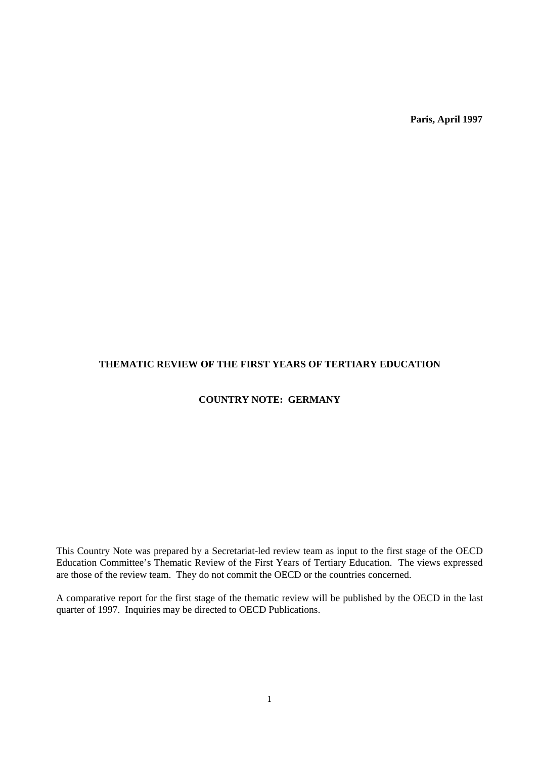**Paris, April 1997**

# **THEMATIC REVIEW OF THE FIRST YEARS OF TERTIARY EDUCATION**

# **COUNTRY NOTE: GERMANY**

This Country Note was prepared by a Secretariat-led review team as input to the first stage of the OECD Education Committee's Thematic Review of the First Years of Tertiary Education. The views expressed are those of the review team. They do not commit the OECD or the countries concerned.

A comparative report for the first stage of the thematic review will be published by the OECD in the last quarter of 1997. Inquiries may be directed to OECD Publications.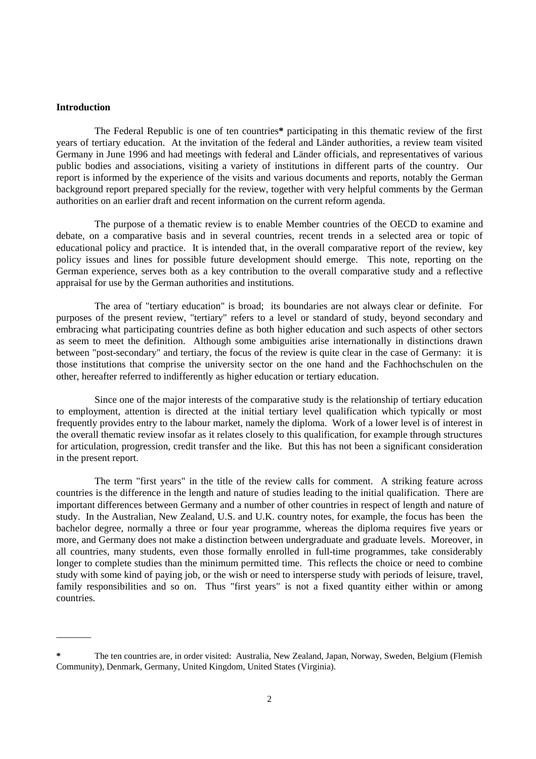### **Introduction**

 $\overline{\phantom{a}}$ 

The Federal Republic is one of ten countries**\*** participating in this thematic review of the first years of tertiary education. At the invitation of the federal and Länder authorities, a review team visited Germany in June 1996 and had meetings with federal and Länder officials, and representatives of various public bodies and associations, visiting a variety of institutions in different parts of the country. Our report is informed by the experience of the visits and various documents and reports, notably the German background report prepared specially for the review, together with very helpful comments by the German authorities on an earlier draft and recent information on the current reform agenda.

The purpose of a thematic review is to enable Member countries of the OECD to examine and debate, on a comparative basis and in several countries, recent trends in a selected area or topic of educational policy and practice. It is intended that, in the overall comparative report of the review, key policy issues and lines for possible future development should emerge. This note, reporting on the German experience, serves both as a key contribution to the overall comparative study and a reflective appraisal for use by the German authorities and institutions.

The area of "tertiary education" is broad; its boundaries are not always clear or definite. For purposes of the present review, "tertiary" refers to a level or standard of study, beyond secondary and embracing what participating countries define as both higher education and such aspects of other sectors as seem to meet the definition. Although some ambiguities arise internationally in distinctions drawn between "post-secondary" and tertiary, the focus of the review is quite clear in the case of Germany: it is those institutions that comprise the university sector on the one hand and the Fachhochschulen on the other, hereafter referred to indifferently as higher education or tertiary education.

Since one of the major interests of the comparative study is the relationship of tertiary education to employment, attention is directed at the initial tertiary level qualification which typically or most frequently provides entry to the labour market, namely the diploma. Work of a lower level is of interest in the overall thematic review insofar as it relates closely to this qualification, for example through structures for articulation, progression, credit transfer and the like. But this has not been a significant consideration in the present report.

The term "first years" in the title of the review calls for comment. A striking feature across countries is the difference in the length and nature of studies leading to the initial qualification. There are important differences between Germany and a number of other countries in respect of length and nature of study. In the Australian, New Zealand, U.S. and U.K. country notes, for example, the focus has been the bachelor degree, normally a three or four year programme, whereas the diploma requires five years or more, and Germany does not make a distinction between undergraduate and graduate levels. Moreover, in all countries, many students, even those formally enrolled in full-time programmes, take considerably longer to complete studies than the minimum permitted time. This reflects the choice or need to combine study with some kind of paying job, or the wish or need to intersperse study with periods of leisure, travel, family responsibilities and so on. Thus "first years" is not a fixed quantity either within or among countries.

**<sup>\*</sup>** The ten countries are, in order visited: Australia, New Zealand, Japan, Norway, Sweden, Belgium (Flemish Community), Denmark, Germany, United Kingdom, United States (Virginia).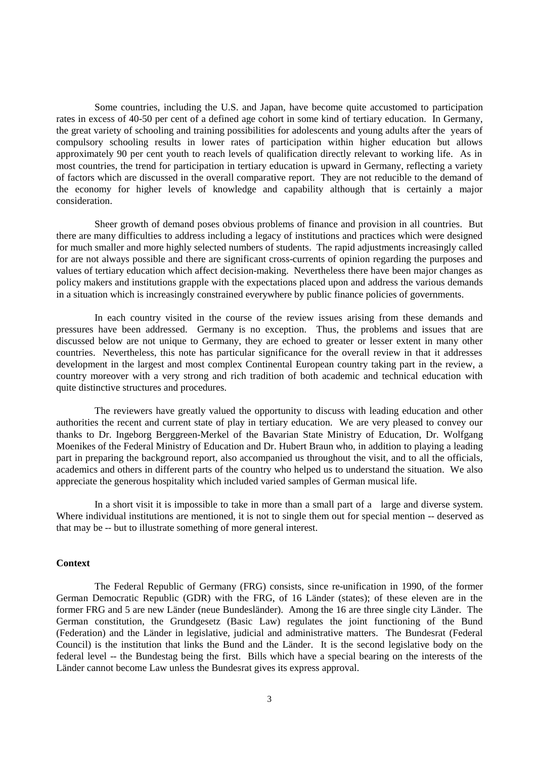Some countries, including the U.S. and Japan, have become quite accustomed to participation rates in excess of 40-50 per cent of a defined age cohort in some kind of tertiary education. In Germany, the great variety of schooling and training possibilities for adolescents and young adults after the years of compulsory schooling results in lower rates of participation within higher education but allows approximately 90 per cent youth to reach levels of qualification directly relevant to working life. As in most countries, the trend for participation in tertiary education is upward in Germany, reflecting a variety of factors which are discussed in the overall comparative report. They are not reducible to the demand of the economy for higher levels of knowledge and capability although that is certainly a major consideration.

Sheer growth of demand poses obvious problems of finance and provision in all countries. But there are many difficulties to address including a legacy of institutions and practices which were designed for much smaller and more highly selected numbers of students. The rapid adjustments increasingly called for are not always possible and there are significant cross-currents of opinion regarding the purposes and values of tertiary education which affect decision-making. Nevertheless there have been major changes as policy makers and institutions grapple with the expectations placed upon and address the various demands in a situation which is increasingly constrained everywhere by public finance policies of governments.

In each country visited in the course of the review issues arising from these demands and pressures have been addressed. Germany is no exception. Thus, the problems and issues that are discussed below are not unique to Germany, they are echoed to greater or lesser extent in many other countries. Nevertheless, this note has particular significance for the overall review in that it addresses development in the largest and most complex Continental European country taking part in the review, a country moreover with a very strong and rich tradition of both academic and technical education with quite distinctive structures and procedures.

The reviewers have greatly valued the opportunity to discuss with leading education and other authorities the recent and current state of play in tertiary education. We are very pleased to convey our thanks to Dr. Ingeborg Berggreen-Merkel of the Bavarian State Ministry of Education, Dr. Wolfgang Moenikes of the Federal Ministry of Education and Dr. Hubert Braun who, in addition to playing a leading part in preparing the background report, also accompanied us throughout the visit, and to all the officials, academics and others in different parts of the country who helped us to understand the situation. We also appreciate the generous hospitality which included varied samples of German musical life.

In a short visit it is impossible to take in more than a small part of a large and diverse system. Where individual institutions are mentioned, it is not to single them out for special mention -- deserved as that may be -- but to illustrate something of more general interest.

### **Context**

The Federal Republic of Germany (FRG) consists, since re-unification in 1990, of the former German Democratic Republic (GDR) with the FRG, of 16 Länder (states); of these eleven are in the former FRG and 5 are new Länder (neue Bundesländer). Among the 16 are three single city Länder. The German constitution, the Grundgesetz (Basic Law) regulates the joint functioning of the Bund (Federation) and the Länder in legislative, judicial and administrative matters. The Bundesrat (Federal Council) is the institution that links the Bund and the Länder. It is the second legislative body on the federal level -- the Bundestag being the first. Bills which have a special bearing on the interests of the Länder cannot become Law unless the Bundesrat gives its express approval.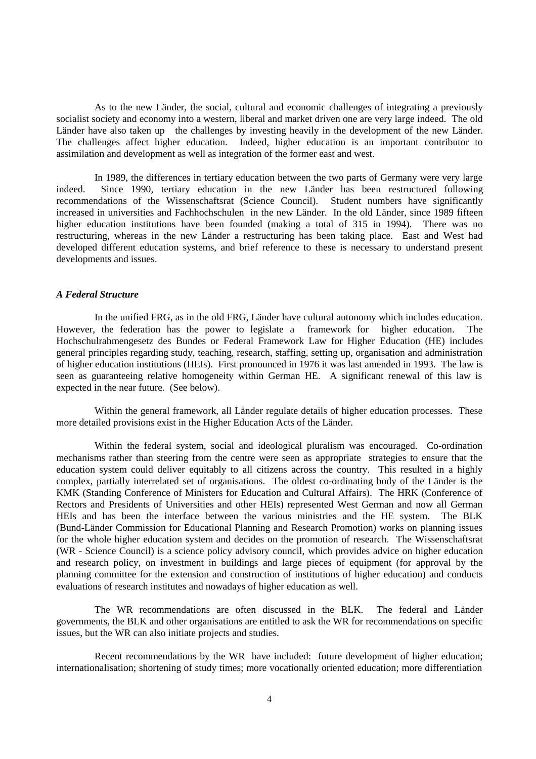As to the new Länder, the social, cultural and economic challenges of integrating a previously socialist society and economy into a western, liberal and market driven one are very large indeed. The old Länder have also taken up the challenges by investing heavily in the development of the new Länder. The challenges affect higher education. Indeed, higher education is an important contributor to assimilation and development as well as integration of the former east and west.

In 1989, the differences in tertiary education between the two parts of Germany were very large indeed. Since 1990, tertiary education in the new Länder has been restructured following recommendations of the Wissenschaftsrat (Science Council). Student numbers have significantly increased in universities and Fachhochschulen in the new Länder. In the old Länder, since 1989 fifteen higher education institutions have been founded (making a total of 315 in 1994). There was no restructuring, whereas in the new Länder a restructuring has been taking place. East and West had developed different education systems, and brief reference to these is necessary to understand present developments and issues.

## *A Federal Structure*

In the unified FRG, as in the old FRG, Länder have cultural autonomy which includes education. However, the federation has the power to legislate a framework for higher education. The Hochschulrahmengesetz des Bundes or Federal Framework Law for Higher Education (HE) includes general principles regarding study, teaching, research, staffing, setting up, organisation and administration of higher education institutions (HEIs). First pronounced in 1976 it was last amended in 1993. The law is seen as guaranteeing relative homogeneity within German HE. A significant renewal of this law is expected in the near future. (See below).

Within the general framework, all Länder regulate details of higher education processes. These more detailed provisions exist in the Higher Education Acts of the Länder.

Within the federal system, social and ideological pluralism was encouraged. Co-ordination mechanisms rather than steering from the centre were seen as appropriate strategies to ensure that the education system could deliver equitably to all citizens across the country. This resulted in a highly complex, partially interrelated set of organisations. The oldest co-ordinating body of the Länder is the KMK (Standing Conference of Ministers for Education and Cultural Affairs). The HRK (Conference of Rectors and Presidents of Universities and other HEIs) represented West German and now all German HEIs and has been the interface between the various ministries and the HE system. The BLK (Bund-Länder Commission for Educational Planning and Research Promotion) works on planning issues for the whole higher education system and decides on the promotion of research. The Wissenschaftsrat (WR - Science Council) is a science policy advisory council, which provides advice on higher education and research policy, on investment in buildings and large pieces of equipment (for approval by the planning committee for the extension and construction of institutions of higher education) and conducts evaluations of research institutes and nowadays of higher education as well.

The WR recommendations are often discussed in the BLK. The federal and Länder governments, the BLK and other organisations are entitled to ask the WR for recommendations on specific issues, but the WR can also initiate projects and studies.

Recent recommendations by the WR have included: future development of higher education; internationalisation; shortening of study times; more vocationally oriented education; more differentiation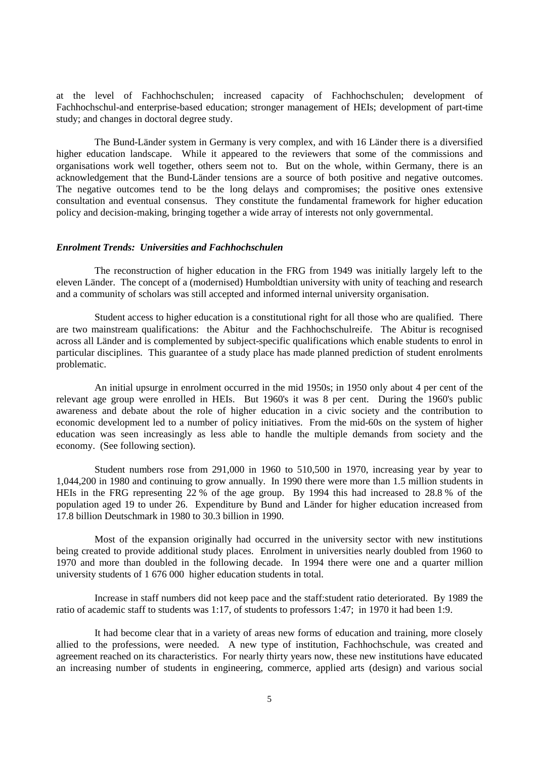at the level of Fachhochschulen; increased capacity of Fachhochschulen; development of Fachhochschul-and enterprise-based education; stronger management of HEIs; development of part-time study; and changes in doctoral degree study.

The Bund-Länder system in Germany is very complex, and with 16 Länder there is a diversified higher education landscape. While it appeared to the reviewers that some of the commissions and organisations work well together, others seem not to. But on the whole, within Germany, there is an acknowledgement that the Bund-Länder tensions are a source of both positive and negative outcomes. The negative outcomes tend to be the long delays and compromises; the positive ones extensive consultation and eventual consensus. They constitute the fundamental framework for higher education policy and decision-making, bringing together a wide array of interests not only governmental.

## *Enrolment Trends: Universities and Fachhochschulen*

The reconstruction of higher education in the FRG from 1949 was initially largely left to the eleven Länder. The concept of a (modernised) Humboldtian university with unity of teaching and research and a community of scholars was still accepted and informed internal university organisation.

Student access to higher education is a constitutional right for all those who are qualified. There are two mainstream qualifications: the Abitur and the Fachhochschulreife. The Abitur is recognised across all Länder and is complemented by subject-specific qualifications which enable students to enrol in particular disciplines. This guarantee of a study place has made planned prediction of student enrolments problematic.

An initial upsurge in enrolment occurred in the mid 1950s; in 1950 only about 4 per cent of the relevant age group were enrolled in HEIs. But 1960's it was 8 per cent. During the 1960's public awareness and debate about the role of higher education in a civic society and the contribution to economic development led to a number of policy initiatives. From the mid-60s on the system of higher education was seen increasingly as less able to handle the multiple demands from society and the economy. (See following section).

Student numbers rose from 291,000 in 1960 to 510,500 in 1970, increasing year by year to 1,044,200 in 1980 and continuing to grow annually. In 1990 there were more than 1.5 million students in HEIs in the FRG representing 22 % of the age group. By 1994 this had increased to 28.8 % of the population aged 19 to under 26. Expenditure by Bund and Länder for higher education increased from 17.8 billion Deutschmark in 1980 to 30.3 billion in 1990.

Most of the expansion originally had occurred in the university sector with new institutions being created to provide additional study places. Enrolment in universities nearly doubled from 1960 to 1970 and more than doubled in the following decade. In 1994 there were one and a quarter million university students of 1 676 000 higher education students in total.

Increase in staff numbers did not keep pace and the staff:student ratio deteriorated. By 1989 the ratio of academic staff to students was 1:17, of students to professors 1:47; in 1970 it had been 1:9.

It had become clear that in a variety of areas new forms of education and training, more closely allied to the professions, were needed. A new type of institution, Fachhochschule, was created and agreement reached on its characteristics. For nearly thirty years now, these new institutions have educated an increasing number of students in engineering, commerce, applied arts (design) and various social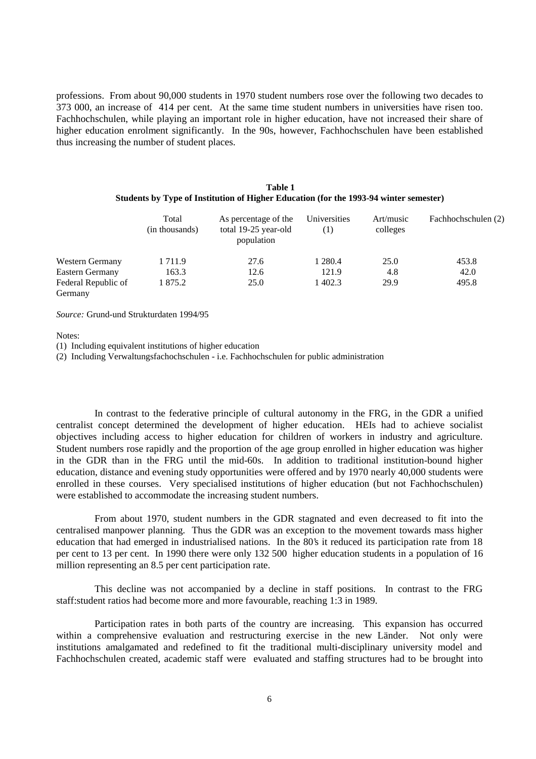professions. From about 90,000 students in 1970 student numbers rose over the following two decades to 373 000, an increase of 414 per cent. At the same time student numbers in universities have risen too. Fachhochschulen, while playing an important role in higher education, have not increased their share of higher education enrolment significantly. In the 90s, however, Fachhochschulen have been established thus increasing the number of student places.

#### **Table 1 Students by Type of Institution of Higher Education (for the 1993-94 winter semester)**

|                                | Total<br>(in thousands) | As percentage of the<br>total 19-25 year-old<br>population | Universities<br>$\left(1\right)$ | Art/music<br>colleges | Fachhochschulen (2) |
|--------------------------------|-------------------------|------------------------------------------------------------|----------------------------------|-----------------------|---------------------|
| <b>Western Germany</b>         | 1 711.9                 | 27.6                                                       | 1 2 8 0.4                        | 25.0                  | 453.8               |
| <b>Eastern Germany</b>         | 163.3                   | 12.6                                                       | 121.9                            | 4.8                   | 42.0                |
| Federal Republic of<br>Germany | 1 875.2                 | 25.0                                                       | 1 402.3                          | 29.9                  | 495.8               |

*Source:* Grund-und Strukturdaten 1994/95

Notes:

(1) Including equivalent institutions of higher education

(2) Including Verwaltungsfachochschulen - i.e. Fachhochschulen for public administration

In contrast to the federative principle of cultural autonomy in the FRG, in the GDR a unified centralist concept determined the development of higher education. HEIs had to achieve socialist objectives including access to higher education for children of workers in industry and agriculture. Student numbers rose rapidly and the proportion of the age group enrolled in higher education was higher in the GDR than in the FRG until the mid-60s. In addition to traditional institution-bound higher education, distance and evening study opportunities were offered and by 1970 nearly 40,000 students were enrolled in these courses. Very specialised institutions of higher education (but not Fachhochschulen) were established to accommodate the increasing student numbers.

From about 1970, student numbers in the GDR stagnated and even decreased to fit into the centralised manpower planning. Thus the GDR was an exception to the movement towards mass higher education that had emerged in industrialised nations. In the 80's it reduced its participation rate from 18 per cent to 13 per cent. In 1990 there were only 132 500 higher education students in a population of 16 million representing an 8.5 per cent participation rate.

This decline was not accompanied by a decline in staff positions. In contrast to the FRG staff:student ratios had become more and more favourable, reaching 1:3 in 1989.

Participation rates in both parts of the country are increasing. This expansion has occurred within a comprehensive evaluation and restructuring exercise in the new Länder. Not only were institutions amalgamated and redefined to fit the traditional multi-disciplinary university model and Fachhochschulen created, academic staff were evaluated and staffing structures had to be brought into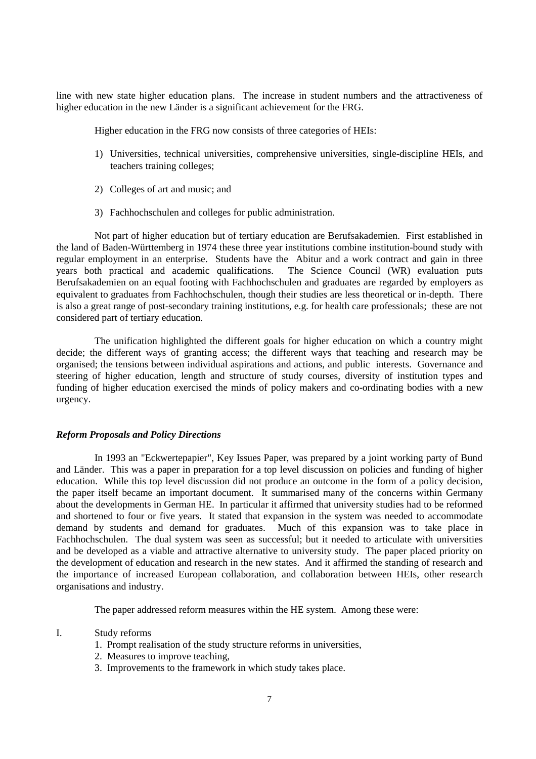line with new state higher education plans. The increase in student numbers and the attractiveness of higher education in the new Länder is a significant achievement for the FRG.

Higher education in the FRG now consists of three categories of HEIs:

- 1) Universities, technical universities, comprehensive universities, single-discipline HEIs, and teachers training colleges;
- 2) Colleges of art and music; and
- 3) Fachhochschulen and colleges for public administration.

Not part of higher education but of tertiary education are Berufsakademien. First established in the land of Baden-Württemberg in 1974 these three year institutions combine institution-bound study with regular employment in an enterprise. Students have the Abitur and a work contract and gain in three years both practical and academic qualifications. The Science Council (WR) evaluation puts Berufsakademien on an equal footing with Fachhochschulen and graduates are regarded by employers as equivalent to graduates from Fachhochschulen, though their studies are less theoretical or in-depth. There is also a great range of post-secondary training institutions, e.g. for health care professionals; these are not considered part of tertiary education.

The unification highlighted the different goals for higher education on which a country might decide; the different ways of granting access; the different ways that teaching and research may be organised; the tensions between individual aspirations and actions, and public interests. Governance and steering of higher education, length and structure of study courses, diversity of institution types and funding of higher education exercised the minds of policy makers and co-ordinating bodies with a new urgency.

#### *Reform Proposals and Policy Directions*

In 1993 an "Eckwertepapier", Key Issues Paper, was prepared by a joint working party of Bund and Länder. This was a paper in preparation for a top level discussion on policies and funding of higher education. While this top level discussion did not produce an outcome in the form of a policy decision, the paper itself became an important document. It summarised many of the concerns within Germany about the developments in German HE. In particular it affirmed that university studies had to be reformed and shortened to four or five years. It stated that expansion in the system was needed to accommodate demand by students and demand for graduates. Much of this expansion was to take place in Fachhochschulen. The dual system was seen as successful; but it needed to articulate with universities and be developed as a viable and attractive alternative to university study. The paper placed priority on the development of education and research in the new states. And it affirmed the standing of research and the importance of increased European collaboration, and collaboration between HEIs, other research organisations and industry.

The paper addressed reform measures within the HE system. Among these were:

- I. Study reforms
	- 1. Prompt realisation of the study structure reforms in universities,
	- 2. Measures to improve teaching,
	- 3. Improvements to the framework in which study takes place.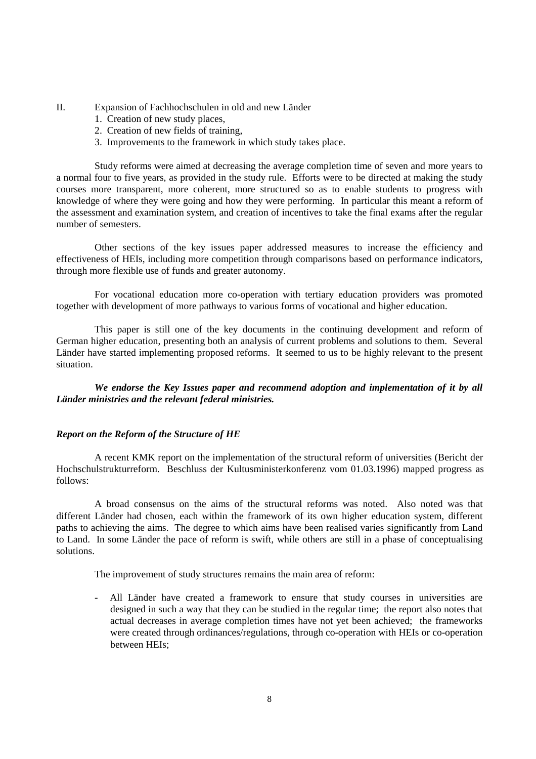- II. Expansion of Fachhochschulen in old and new Länder
	- 1. Creation of new study places,
	- 2. Creation of new fields of training,
	- 3. Improvements to the framework in which study takes place.

Study reforms were aimed at decreasing the average completion time of seven and more years to a normal four to five years, as provided in the study rule. Efforts were to be directed at making the study courses more transparent, more coherent, more structured so as to enable students to progress with knowledge of where they were going and how they were performing. In particular this meant a reform of the assessment and examination system, and creation of incentives to take the final exams after the regular number of semesters.

Other sections of the key issues paper addressed measures to increase the efficiency and effectiveness of HEIs, including more competition through comparisons based on performance indicators, through more flexible use of funds and greater autonomy.

For vocational education more co-operation with tertiary education providers was promoted together with development of more pathways to various forms of vocational and higher education.

This paper is still one of the key documents in the continuing development and reform of German higher education, presenting both an analysis of current problems and solutions to them. Several Länder have started implementing proposed reforms. It seemed to us to be highly relevant to the present situation.

*We endorse the Key Issues paper and recommend adoption and implementation of it by all Länder ministries and the relevant federal ministries.*

## *Report on the Reform of the Structure of HE*

A recent KMK report on the implementation of the structural reform of universities (Bericht der Hochschulstrukturreform. Beschluss der Kultusministerkonferenz vom 01.03.1996) mapped progress as follows:

A broad consensus on the aims of the structural reforms was noted. Also noted was that different Länder had chosen, each within the framework of its own higher education system, different paths to achieving the aims. The degree to which aims have been realised varies significantly from Land to Land. In some Länder the pace of reform is swift, while others are still in a phase of conceptualising solutions.

The improvement of study structures remains the main area of reform:

All Länder have created a framework to ensure that study courses in universities are designed in such a way that they can be studied in the regular time; the report also notes that actual decreases in average completion times have not yet been achieved; the frameworks were created through ordinances/regulations, through co-operation with HEIs or co-operation between HEIs;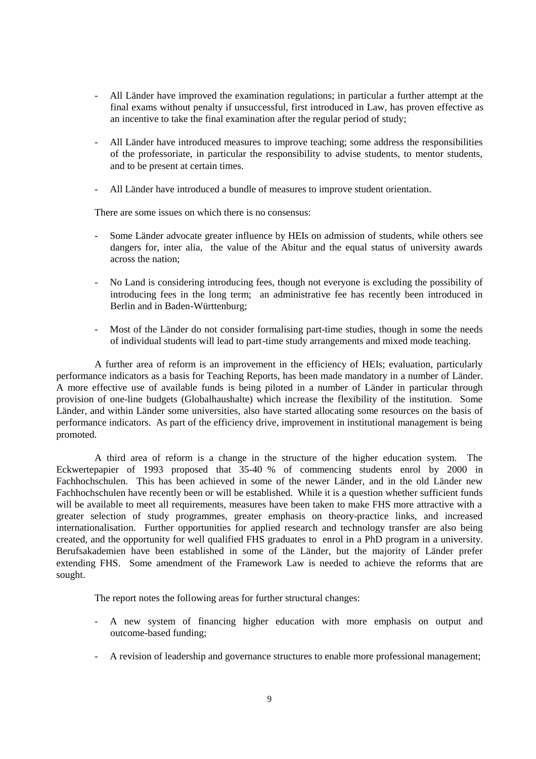- All Länder have improved the examination regulations; in particular a further attempt at the final exams without penalty if unsuccessful, first introduced in Law, has proven effective as an incentive to take the final examination after the regular period of study;
- All Länder have introduced measures to improve teaching; some address the responsibilities of the professoriate, in particular the responsibility to advise students, to mentor students, and to be present at certain times.
- All Länder have introduced a bundle of measures to improve student orientation.

There are some issues on which there is no consensus:

- Some Länder advocate greater influence by HEIs on admission of students, while others see dangers for, inter alia, the value of the Abitur and the equal status of university awards across the nation;
- No Land is considering introducing fees, though not everyone is excluding the possibility of introducing fees in the long term; an administrative fee has recently been introduced in Berlin and in Baden-Württenburg;
- Most of the Länder do not consider formalising part-time studies, though in some the needs of individual students will lead to part-time study arrangements and mixed mode teaching.

A further area of reform is an improvement in the efficiency of HEIs; evaluation, particularly performance indicators as a basis for Teaching Reports, has been made mandatory in a number of Länder. A more effective use of available funds is being piloted in a number of Länder in particular through provision of one-line budgets (Globalhaushalte) which increase the flexibility of the institution. Some Länder, and within Länder some universities, also have started allocating some resources on the basis of performance indicators. As part of the efficiency drive, improvement in institutional management is being promoted.

A third area of reform is a change in the structure of the higher education system. The Eckwertepapier of 1993 proposed that 35-40 % of commencing students enrol by 2000 in Fachhochschulen. This has been achieved in some of the newer Länder, and in the old Länder new Fachhochschulen have recently been or will be established. While it is a question whether sufficient funds will be available to meet all requirements, measures have been taken to make FHS more attractive with a greater selection of study programmes, greater emphasis on theory-practice links, and increased internationalisation. Further opportunities for applied research and technology transfer are also being created, and the opportunity for well qualified FHS graduates to enrol in a PhD program in a university. Berufsakademien have been established in some of the Länder, but the majority of Länder prefer extending FHS. Some amendment of the Framework Law is needed to achieve the reforms that are sought.

The report notes the following areas for further structural changes:

- A new system of financing higher education with more emphasis on output and outcome-based funding;
- A revision of leadership and governance structures to enable more professional management;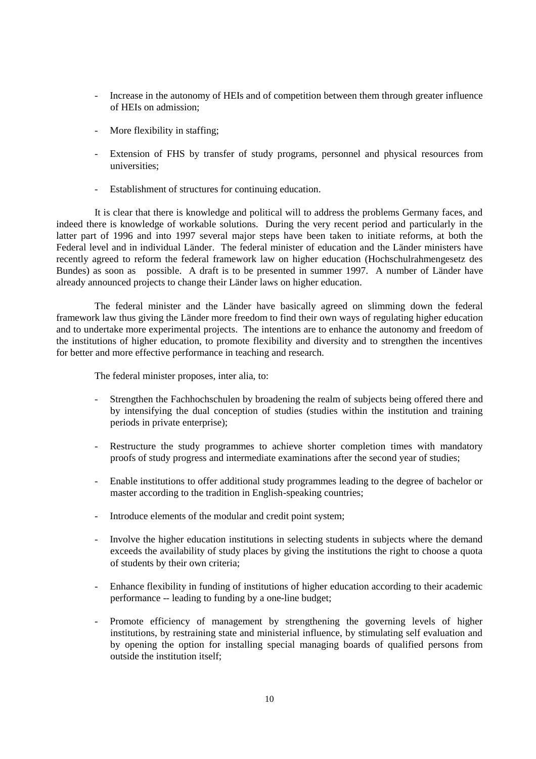- Increase in the autonomy of HEIs and of competition between them through greater influence of HEIs on admission;
- More flexibility in staffing;
- Extension of FHS by transfer of study programs, personnel and physical resources from universities;
- Establishment of structures for continuing education.

It is clear that there is knowledge and political will to address the problems Germany faces, and indeed there is knowledge of workable solutions. During the very recent period and particularly in the latter part of 1996 and into 1997 several major steps have been taken to initiate reforms, at both the Federal level and in individual Länder. The federal minister of education and the Länder ministers have recently agreed to reform the federal framework law on higher education (Hochschulrahmengesetz des Bundes) as soon as possible. A draft is to be presented in summer 1997. A number of Länder have already announced projects to change their Länder laws on higher education.

The federal minister and the Länder have basically agreed on slimming down the federal framework law thus giving the Länder more freedom to find their own ways of regulating higher education and to undertake more experimental projects. The intentions are to enhance the autonomy and freedom of the institutions of higher education, to promote flexibility and diversity and to strengthen the incentives for better and more effective performance in teaching and research.

The federal minister proposes, inter alia, to:

- Strengthen the Fachhochschulen by broadening the realm of subjects being offered there and by intensifying the dual conception of studies (studies within the institution and training periods in private enterprise);
- Restructure the study programmes to achieve shorter completion times with mandatory proofs of study progress and intermediate examinations after the second year of studies;
- Enable institutions to offer additional study programmes leading to the degree of bachelor or master according to the tradition in English-speaking countries;
- Introduce elements of the modular and credit point system;
- Involve the higher education institutions in selecting students in subjects where the demand exceeds the availability of study places by giving the institutions the right to choose a quota of students by their own criteria;
- Enhance flexibility in funding of institutions of higher education according to their academic performance -- leading to funding by a one-line budget;
- Promote efficiency of management by strengthening the governing levels of higher institutions, by restraining state and ministerial influence, by stimulating self evaluation and by opening the option for installing special managing boards of qualified persons from outside the institution itself;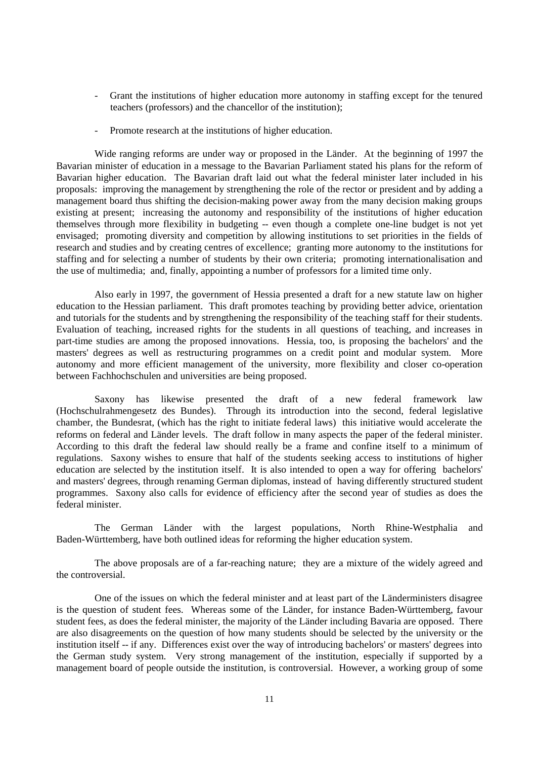- Grant the institutions of higher education more autonomy in staffing except for the tenured teachers (professors) and the chancellor of the institution);
- Promote research at the institutions of higher education.

Wide ranging reforms are under way or proposed in the Länder. At the beginning of 1997 the Bavarian minister of education in a message to the Bavarian Parliament stated his plans for the reform of Bavarian higher education. The Bavarian draft laid out what the federal minister later included in his proposals: improving the management by strengthening the role of the rector or president and by adding a management board thus shifting the decision-making power away from the many decision making groups existing at present; increasing the autonomy and responsibility of the institutions of higher education themselves through more flexibility in budgeting -- even though a complete one-line budget is not yet envisaged; promoting diversity and competition by allowing institutions to set priorities in the fields of research and studies and by creating centres of excellence; granting more autonomy to the institutions for staffing and for selecting a number of students by their own criteria; promoting internationalisation and the use of multimedia; and, finally, appointing a number of professors for a limited time only.

Also early in 1997, the government of Hessia presented a draft for a new statute law on higher education to the Hessian parliament. This draft promotes teaching by providing better advice, orientation and tutorials for the students and by strengthening the responsibility of the teaching staff for their students. Evaluation of teaching, increased rights for the students in all questions of teaching, and increases in part-time studies are among the proposed innovations. Hessia, too, is proposing the bachelors' and the masters' degrees as well as restructuring programmes on a credit point and modular system. More autonomy and more efficient management of the university, more flexibility and closer co-operation between Fachhochschulen and universities are being proposed.

Saxony has likewise presented the draft of a new federal framework law (Hochschulrahmengesetz des Bundes). Through its introduction into the second, federal legislative chamber, the Bundesrat, (which has the right to initiate federal laws) this initiative would accelerate the reforms on federal and Länder levels. The draft follow in many aspects the paper of the federal minister. According to this draft the federal law should really be a frame and confine itself to a minimum of regulations. Saxony wishes to ensure that half of the students seeking access to institutions of higher education are selected by the institution itself. It is also intended to open a way for offering bachelors' and masters' degrees, through renaming German diplomas, instead of having differently structured student programmes. Saxony also calls for evidence of efficiency after the second year of studies as does the federal minister.

The German Länder with the largest populations, North Rhine-Westphalia and Baden-Württemberg, have both outlined ideas for reforming the higher education system.

The above proposals are of a far-reaching nature; they are a mixture of the widely agreed and the controversial.

One of the issues on which the federal minister and at least part of the Länderministers disagree is the question of student fees. Whereas some of the Länder, for instance Baden-Württemberg, favour student fees, as does the federal minister, the majority of the Länder including Bavaria are opposed. There are also disagreements on the question of how many students should be selected by the university or the institution itself -- if any. Differences exist over the way of introducing bachelors' or masters' degrees into the German study system. Very strong management of the institution, especially if supported by a management board of people outside the institution, is controversial. However, a working group of some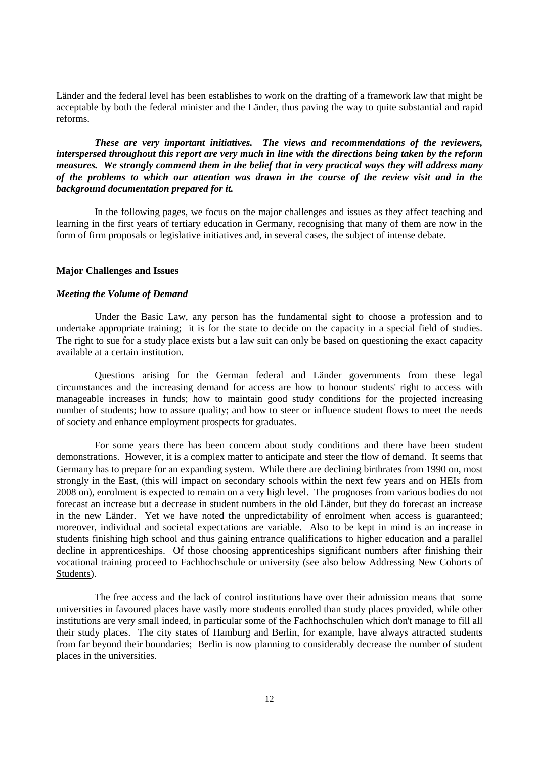Länder and the federal level has been establishes to work on the drafting of a framework law that might be acceptable by both the federal minister and the Länder, thus paving the way to quite substantial and rapid reforms.

*These are very important initiatives. The views and recommendations of the reviewers, interspersed throughout this report are very much in line with the directions being taken by the reform measures. We strongly commend them in the belief that in very practical ways they will address many of the problems to which our attention was drawn in the course of the review visit and in the background documentation prepared for it.*

In the following pages, we focus on the major challenges and issues as they affect teaching and learning in the first years of tertiary education in Germany, recognising that many of them are now in the form of firm proposals or legislative initiatives and, in several cases, the subject of intense debate.

### **Major Challenges and Issues**

#### *Meeting the Volume of Demand*

Under the Basic Law, any person has the fundamental sight to choose a profession and to undertake appropriate training; it is for the state to decide on the capacity in a special field of studies. The right to sue for a study place exists but a law suit can only be based on questioning the exact capacity available at a certain institution.

Questions arising for the German federal and Länder governments from these legal circumstances and the increasing demand for access are how to honour students' right to access with manageable increases in funds; how to maintain good study conditions for the projected increasing number of students; how to assure quality; and how to steer or influence student flows to meet the needs of society and enhance employment prospects for graduates.

For some years there has been concern about study conditions and there have been student demonstrations. However, it is a complex matter to anticipate and steer the flow of demand. It seems that Germany has to prepare for an expanding system. While there are declining birthrates from 1990 on, most strongly in the East, (this will impact on secondary schools within the next few years and on HEIs from 2008 on), enrolment is expected to remain on a very high level. The prognoses from various bodies do not forecast an increase but a decrease in student numbers in the old Länder, but they do forecast an increase in the new Länder. Yet we have noted the unpredictability of enrolment when access is guaranteed; moreover, individual and societal expectations are variable. Also to be kept in mind is an increase in students finishing high school and thus gaining entrance qualifications to higher education and a parallel decline in apprenticeships. Of those choosing apprenticeships significant numbers after finishing their vocational training proceed to Fachhochschule or university (see also below Addressing New Cohorts of Students).

The free access and the lack of control institutions have over their admission means that some universities in favoured places have vastly more students enrolled than study places provided, while other institutions are very small indeed, in particular some of the Fachhochschulen which don't manage to fill all their study places. The city states of Hamburg and Berlin, for example, have always attracted students from far beyond their boundaries; Berlin is now planning to considerably decrease the number of student places in the universities.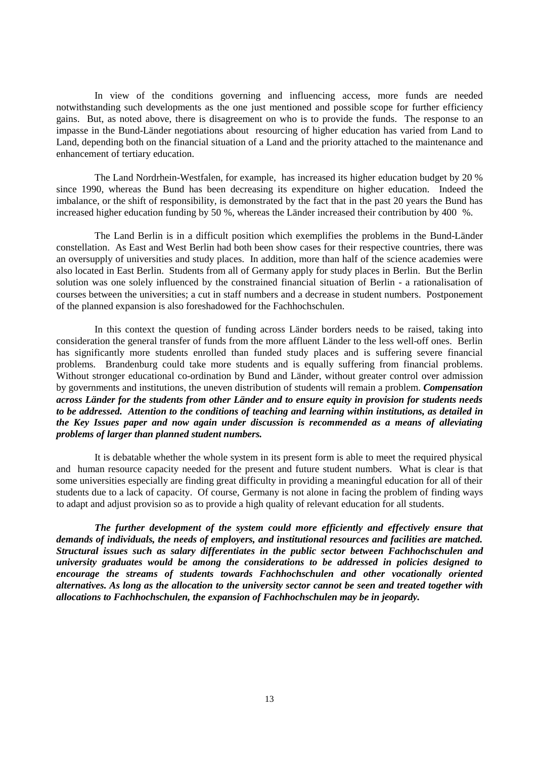In view of the conditions governing and influencing access, more funds are needed notwithstanding such developments as the one just mentioned and possible scope for further efficiency gains. But, as noted above, there is disagreement on who is to provide the funds. The response to an impasse in the Bund-Länder negotiations about resourcing of higher education has varied from Land to Land, depending both on the financial situation of a Land and the priority attached to the maintenance and enhancement of tertiary education.

The Land Nordrhein-Westfalen, for example, has increased its higher education budget by 20 % since 1990, whereas the Bund has been decreasing its expenditure on higher education. Indeed the imbalance, or the shift of responsibility, is demonstrated by the fact that in the past 20 years the Bund has increased higher education funding by 50 %, whereas the Länder increased their contribution by 400 %.

The Land Berlin is in a difficult position which exemplifies the problems in the Bund-Länder constellation. As East and West Berlin had both been show cases for their respective countries, there was an oversupply of universities and study places. In addition, more than half of the science academies were also located in East Berlin. Students from all of Germany apply for study places in Berlin. But the Berlin solution was one solely influenced by the constrained financial situation of Berlin - a rationalisation of courses between the universities; a cut in staff numbers and a decrease in student numbers. Postponement of the planned expansion is also foreshadowed for the Fachhochschulen.

In this context the question of funding across Länder borders needs to be raised, taking into consideration the general transfer of funds from the more affluent Länder to the less well-off ones. Berlin has significantly more students enrolled than funded study places and is suffering severe financial problems. Brandenburg could take more students and is equally suffering from financial problems. Without stronger educational co-ordination by Bund and Länder, without greater control over admission by governments and institutions, the uneven distribution of students will remain a problem. *Compensation across Länder for the students from other Länder and to ensure equity in provision for students needs to be addressed. Attention to the conditions of teaching and learning within institutions, as detailed in the Key Issues paper and now again under discussion is recommended as a means of alleviating problems of larger than planned student numbers.*

It is debatable whether the whole system in its present form is able to meet the required physical and human resource capacity needed for the present and future student numbers. What is clear is that some universities especially are finding great difficulty in providing a meaningful education for all of their students due to a lack of capacity. Of course, Germany is not alone in facing the problem of finding ways to adapt and adjust provision so as to provide a high quality of relevant education for all students.

*The further development of the system could more efficiently and effectively ensure that demands of individuals, the needs of employers, and institutional resources and facilities are matched. Structural issues such as salary differentiates in the public sector between Fachhochschulen and university graduates would be among the considerations to be addressed in policies designed to encourage the streams of students towards Fachhochschulen and other vocationally oriented alternatives. As long as the allocation to the university sector cannot be seen and treated together with allocations to Fachhochschulen, the expansion of Fachhochschulen may be in jeopardy.*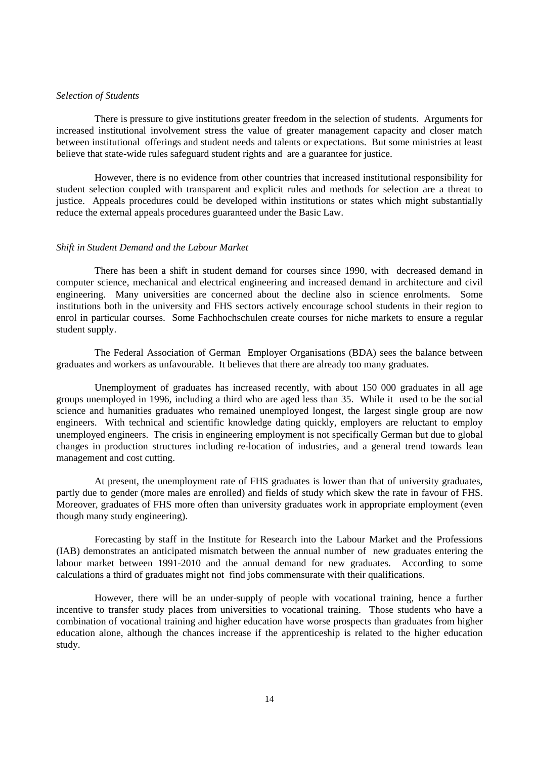#### *Selection of Students*

There is pressure to give institutions greater freedom in the selection of students. Arguments for increased institutional involvement stress the value of greater management capacity and closer match between institutional offerings and student needs and talents or expectations. But some ministries at least believe that state-wide rules safeguard student rights and are a guarantee for justice.

However, there is no evidence from other countries that increased institutional responsibility for student selection coupled with transparent and explicit rules and methods for selection are a threat to justice. Appeals procedures could be developed within institutions or states which might substantially reduce the external appeals procedures guaranteed under the Basic Law.

#### *Shift in Student Demand and the Labour Market*

There has been a shift in student demand for courses since 1990, with decreased demand in computer science, mechanical and electrical engineering and increased demand in architecture and civil engineering. Many universities are concerned about the decline also in science enrolments. Some institutions both in the university and FHS sectors actively encourage school students in their region to enrol in particular courses. Some Fachhochschulen create courses for niche markets to ensure a regular student supply.

The Federal Association of German Employer Organisations (BDA) sees the balance between graduates and workers as unfavourable. It believes that there are already too many graduates.

Unemployment of graduates has increased recently, with about 150 000 graduates in all age groups unemployed in 1996, including a third who are aged less than 35. While it used to be the social science and humanities graduates who remained unemployed longest, the largest single group are now engineers. With technical and scientific knowledge dating quickly, employers are reluctant to employ unemployed engineers. The crisis in engineering employment is not specifically German but due to global changes in production structures including re-location of industries, and a general trend towards lean management and cost cutting.

At present, the unemployment rate of FHS graduates is lower than that of university graduates, partly due to gender (more males are enrolled) and fields of study which skew the rate in favour of FHS. Moreover, graduates of FHS more often than university graduates work in appropriate employment (even though many study engineering).

Forecasting by staff in the Institute for Research into the Labour Market and the Professions (IAB) demonstrates an anticipated mismatch between the annual number of new graduates entering the labour market between 1991-2010 and the annual demand for new graduates. According to some calculations a third of graduates might not find jobs commensurate with their qualifications.

However, there will be an under-supply of people with vocational training, hence a further incentive to transfer study places from universities to vocational training. Those students who have a combination of vocational training and higher education have worse prospects than graduates from higher education alone, although the chances increase if the apprenticeship is related to the higher education study.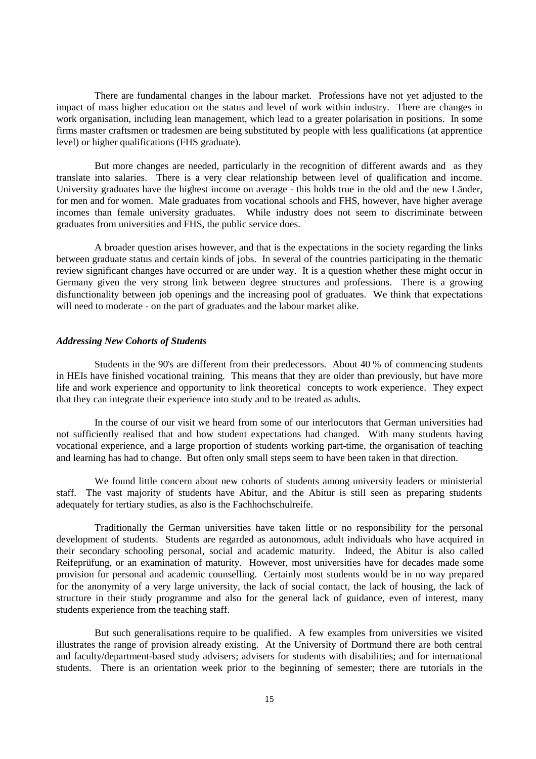There are fundamental changes in the labour market. Professions have not yet adjusted to the impact of mass higher education on the status and level of work within industry. There are changes in work organisation, including lean management, which lead to a greater polarisation in positions. In some firms master craftsmen or tradesmen are being substituted by people with less qualifications (at apprentice level) or higher qualifications (FHS graduate).

But more changes are needed, particularly in the recognition of different awards and as they translate into salaries. There is a very clear relationship between level of qualification and income. University graduates have the highest income on average - this holds true in the old and the new Länder, for men and for women. Male graduates from vocational schools and FHS, however, have higher average incomes than female university graduates. While industry does not seem to discriminate between graduates from universities and FHS, the public service does.

A broader question arises however, and that is the expectations in the society regarding the links between graduate status and certain kinds of jobs. In several of the countries participating in the thematic review significant changes have occurred or are under way. It is a question whether these might occur in Germany given the very strong link between degree structures and professions. There is a growing disfunctionality between job openings and the increasing pool of graduates. We think that expectations will need to moderate - on the part of graduates and the labour market alike.

#### *Addressing New Cohorts of Students*

Students in the 90's are different from their predecessors. About 40 % of commencing students in HEIs have finished vocational training. This means that they are older than previously, but have more life and work experience and opportunity to link theoretical concepts to work experience. They expect that they can integrate their experience into study and to be treated as adults.

In the course of our visit we heard from some of our interlocutors that German universities had not sufficiently realised that and how student expectations had changed. With many students having vocational experience, and a large proportion of students working part-time, the organisation of teaching and learning has had to change. But often only small steps seem to have been taken in that direction.

We found little concern about new cohorts of students among university leaders or ministerial staff. The vast majority of students have Abitur, and the Abitur is still seen as preparing students adequately for tertiary studies, as also is the Fachhochschulreife.

Traditionally the German universities have taken little or no responsibility for the personal development of students. Students are regarded as autonomous, adult individuals who have acquired in their secondary schooling personal, social and academic maturity. Indeed, the Abitur is also called Reifeprüfung, or an examination of maturity. However, most universities have for decades made some provision for personal and academic counselling. Certainly most students would be in no way prepared for the anonymity of a very large university, the lack of social contact, the lack of housing, the lack of structure in their study programme and also for the general lack of guidance, even of interest, many students experience from the teaching staff.

But such generalisations require to be qualified. A few examples from universities we visited illustrates the range of provision already existing. At the University of Dortmund there are both central and faculty/department-based study advisers; advisers for students with disabilities; and for international students. There is an orientation week prior to the beginning of semester; there are tutorials in the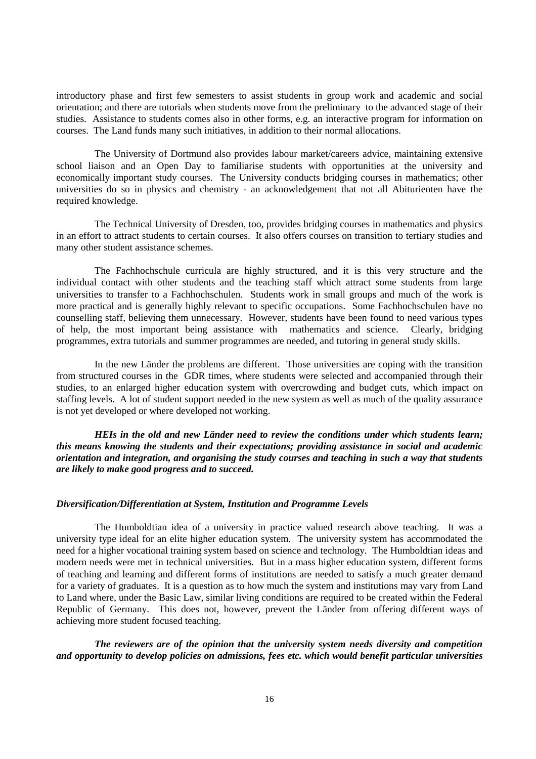introductory phase and first few semesters to assist students in group work and academic and social orientation; and there are tutorials when students move from the preliminary to the advanced stage of their studies. Assistance to students comes also in other forms, e.g. an interactive program for information on courses. The Land funds many such initiatives, in addition to their normal allocations.

The University of Dortmund also provides labour market/careers advice, maintaining extensive school liaison and an Open Day to familiarise students with opportunities at the university and economically important study courses. The University conducts bridging courses in mathematics; other universities do so in physics and chemistry - an acknowledgement that not all Abiturienten have the required knowledge.

The Technical University of Dresden, too, provides bridging courses in mathematics and physics in an effort to attract students to certain courses. It also offers courses on transition to tertiary studies and many other student assistance schemes.

The Fachhochschule curricula are highly structured, and it is this very structure and the individual contact with other students and the teaching staff which attract some students from large universities to transfer to a Fachhochschulen. Students work in small groups and much of the work is more practical and is generally highly relevant to specific occupations. Some Fachhochschulen have no counselling staff, believing them unnecessary. However, students have been found to need various types of help, the most important being assistance with mathematics and science. Clearly, bridging programmes, extra tutorials and summer programmes are needed, and tutoring in general study skills.

In the new Länder the problems are different. Those universities are coping with the transition from structured courses in the GDR times, where students were selected and accompanied through their studies, to an enlarged higher education system with overcrowding and budget cuts, which impact on staffing levels. A lot of student support needed in the new system as well as much of the quality assurance is not yet developed or where developed not working.

*HEIs in the old and new Länder need to review the conditions under which students learn; this means knowing the students and their expectations; providing assistance in social and academic orientation and integration, and organising the study courses and teaching in such a way that students are likely to make good progress and to succeed.*

## *Diversification/Differentiation at System, Institution and Programme Levels*

The Humboldtian idea of a university in practice valued research above teaching. It was a university type ideal for an elite higher education system. The university system has accommodated the need for a higher vocational training system based on science and technology. The Humboldtian ideas and modern needs were met in technical universities. But in a mass higher education system, different forms of teaching and learning and different forms of institutions are needed to satisfy a much greater demand for a variety of graduates. It is a question as to how much the system and institutions may vary from Land to Land where, under the Basic Law, similar living conditions are required to be created within the Federal Republic of Germany. This does not, however, prevent the Länder from offering different ways of achieving more student focused teaching.

*The reviewers are of the opinion that the university system needs diversity and competition and opportunity to develop policies on admissions, fees etc. which would benefit particular universities*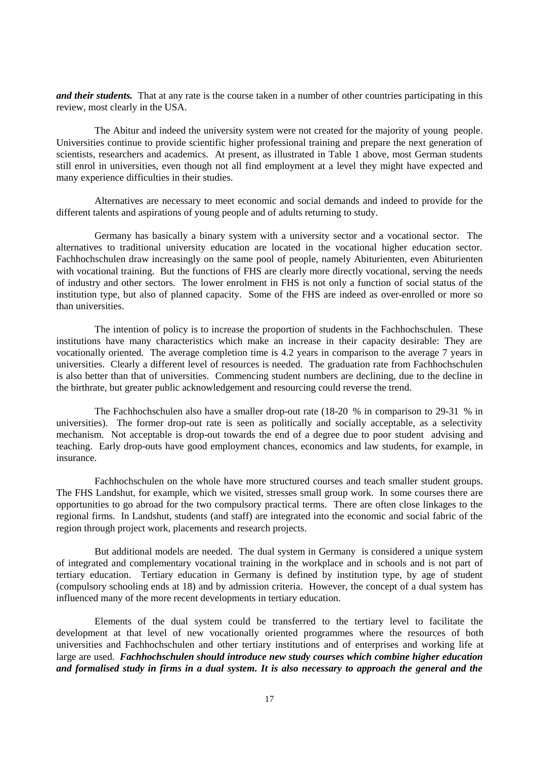*and their students.* That at any rate is the course taken in a number of other countries participating in this review, most clearly in the USA.

The Abitur and indeed the university system were not created for the majority of young people. Universities continue to provide scientific higher professional training and prepare the next generation of scientists, researchers and academics. At present, as illustrated in Table 1 above, most German students still enrol in universities, even though not all find employment at a level they might have expected and many experience difficulties in their studies.

Alternatives are necessary to meet economic and social demands and indeed to provide for the different talents and aspirations of young people and of adults returning to study.

Germany has basically a binary system with a university sector and a vocational sector. The alternatives to traditional university education are located in the vocational higher education sector. Fachhochschulen draw increasingly on the same pool of people, namely Abiturienten, even Abiturienten with vocational training. But the functions of FHS are clearly more directly vocational, serving the needs of industry and other sectors. The lower enrolment in FHS is not only a function of social status of the institution type, but also of planned capacity. Some of the FHS are indeed as over-enrolled or more so than universities.

The intention of policy is to increase the proportion of students in the Fachhochschulen. These institutions have many characteristics which make an increase in their capacity desirable: They are vocationally oriented. The average completion time is 4.2 years in comparison to the average 7 years in universities. Clearly a different level of resources is needed. The graduation rate from Fachhochschulen is also better than that of universities. Commencing student numbers are declining, due to the decline in the birthrate, but greater public acknowledgement and resourcing could reverse the trend.

The Fachhochschulen also have a smaller drop-out rate (18-20 % in comparison to 29-31 % in universities). The former drop-out rate is seen as politically and socially acceptable, as a selectivity mechanism. Not acceptable is drop-out towards the end of a degree due to poor student advising and teaching. Early drop-outs have good employment chances, economics and law students, for example, in insurance.

Fachhochschulen on the whole have more structured courses and teach smaller student groups. The FHS Landshut, for example, which we visited, stresses small group work. In some courses there are opportunities to go abroad for the two compulsory practical terms. There are often close linkages to the regional firms. In Landshut, students (and staff) are integrated into the economic and social fabric of the region through project work, placements and research projects.

But additional models are needed. The dual system in Germany is considered a unique system of integrated and complementary vocational training in the workplace and in schools and is not part of tertiary education. Tertiary education in Germany is defined by institution type, by age of student (compulsory schooling ends at 18) and by admission criteria. However, the concept of a dual system has influenced many of the more recent developments in tertiary education.

Elements of the dual system could be transferred to the tertiary level to facilitate the development at that level of new vocationally oriented programmes where the resources of both universities and Fachhochschulen and other tertiary institutions and of enterprises and working life at large are used. *Fachhochschulen should introduce new study courses which combine higher education and formalised study in firms in a dual system. It is also necessary to approach the general and the*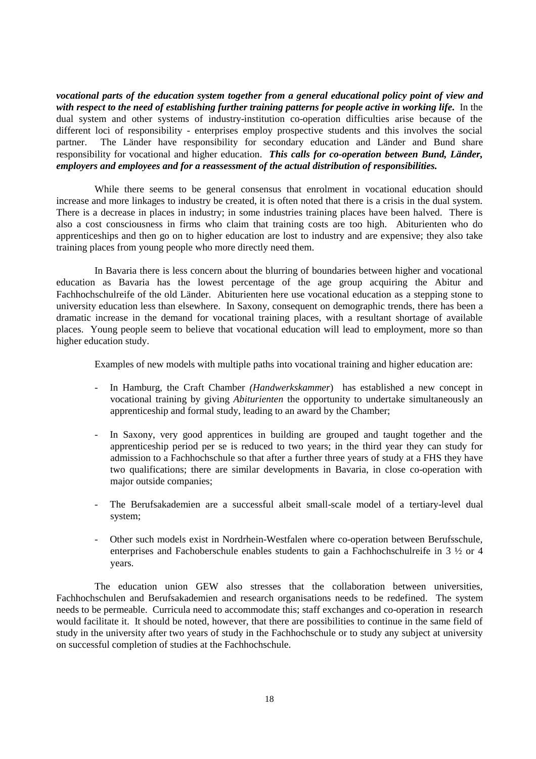*vocational parts of the education system together from a general educational policy point of view and* with respect to the need of establishing further training patterns for people active in working life. In the dual system and other systems of industry-institution co-operation difficulties arise because of the different loci of responsibility - enterprises employ prospective students and this involves the social partner. The Länder have responsibility for secondary education and Länder and Bund share responsibility for vocational and higher education. *This calls for co-operation between Bund, Länder, employers and employees and for a reassessment of the actual distribution of responsibilities.*

While there seems to be general consensus that enrolment in vocational education should increase and more linkages to industry be created, it is often noted that there is a crisis in the dual system. There is a decrease in places in industry; in some industries training places have been halved. There is also a cost consciousness in firms who claim that training costs are too high. Abiturienten who do apprenticeships and then go on to higher education are lost to industry and are expensive; they also take training places from young people who more directly need them.

In Bavaria there is less concern about the blurring of boundaries between higher and vocational education as Bavaria has the lowest percentage of the age group acquiring the Abitur and Fachhochschulreife of the old Länder. Abiturienten here use vocational education as a stepping stone to university education less than elsewhere. In Saxony, consequent on demographic trends, there has been a dramatic increase in the demand for vocational training places, with a resultant shortage of available places. Young people seem to believe that vocational education will lead to employment, more so than higher education study.

Examples of new models with multiple paths into vocational training and higher education are:

- In Hamburg, the Craft Chamber *(Handwerkskammer*) has established a new concept in vocational training by giving *Abiturienten* the opportunity to undertake simultaneously an apprenticeship and formal study, leading to an award by the Chamber;
- In Saxony, very good apprentices in building are grouped and taught together and the apprenticeship period per se is reduced to two years; in the third year they can study for admission to a Fachhochschule so that after a further three years of study at a FHS they have two qualifications; there are similar developments in Bavaria, in close co-operation with major outside companies;
- The Berufsakademien are a successful albeit small-scale model of a tertiary-level dual system;
- Other such models exist in Nordrhein-Westfalen where co-operation between Berufsschule, enterprises and Fachoberschule enables students to gain a Fachhochschulreife in 3 ½ or 4 years.

The education union GEW also stresses that the collaboration between universities, Fachhochschulen and Berufsakademien and research organisations needs to be redefined. The system needs to be permeable. Curricula need to accommodate this; staff exchanges and co-operation in research would facilitate it. It should be noted, however, that there are possibilities to continue in the same field of study in the university after two years of study in the Fachhochschule or to study any subject at university on successful completion of studies at the Fachhochschule.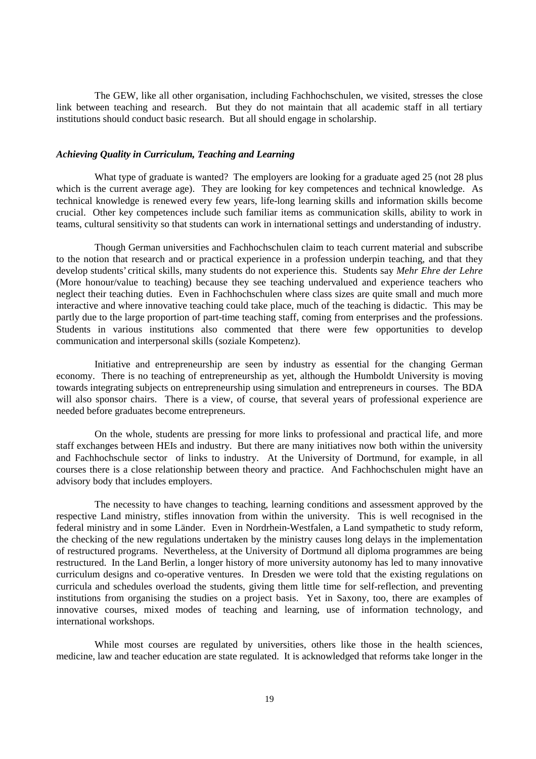The GEW, like all other organisation, including Fachhochschulen, we visited, stresses the close link between teaching and research. But they do not maintain that all academic staff in all tertiary institutions should conduct basic research. But all should engage in scholarship.

## *Achieving Quality in Curriculum, Teaching and Learning*

What type of graduate is wanted? The employers are looking for a graduate aged 25 (not 28 plus which is the current average age). They are looking for key competences and technical knowledge. As technical knowledge is renewed every few years, life-long learning skills and information skills become crucial. Other key competences include such familiar items as communication skills, ability to work in teams, cultural sensitivity so that students can work in international settings and understanding of industry.

Though German universities and Fachhochschulen claim to teach current material and subscribe to the notion that research and or practical experience in a profession underpin teaching, and that they develop students' critical skills, many students do not experience this. Students say *Mehr Ehre der Lehre* (More honour/value to teaching) because they see teaching undervalued and experience teachers who neglect their teaching duties. Even in Fachhochschulen where class sizes are quite small and much more interactive and where innovative teaching could take place, much of the teaching is didactic. This may be partly due to the large proportion of part-time teaching staff, coming from enterprises and the professions. Students in various institutions also commented that there were few opportunities to develop communication and interpersonal skills (soziale Kompetenz).

Initiative and entrepreneurship are seen by industry as essential for the changing German economy. There is no teaching of entrepreneurship as yet, although the Humboldt University is moving towards integrating subjects on entrepreneurship using simulation and entrepreneurs in courses. The BDA will also sponsor chairs. There is a view, of course, that several years of professional experience are needed before graduates become entrepreneurs.

On the whole, students are pressing for more links to professional and practical life, and more staff exchanges between HEIs and industry. But there are many initiatives now both within the university and Fachhochschule sector of links to industry. At the University of Dortmund, for example, in all courses there is a close relationship between theory and practice. And Fachhochschulen might have an advisory body that includes employers.

The necessity to have changes to teaching, learning conditions and assessment approved by the respective Land ministry, stifles innovation from within the university. This is well recognised in the federal ministry and in some Länder. Even in Nordrhein-Westfalen, a Land sympathetic to study reform, the checking of the new regulations undertaken by the ministry causes long delays in the implementation of restructured programs. Nevertheless, at the University of Dortmund all diploma programmes are being restructured. In the Land Berlin, a longer history of more university autonomy has led to many innovative curriculum designs and co-operative ventures. In Dresden we were told that the existing regulations on curricula and schedules overload the students, giving them little time for self-reflection, and preventing institutions from organising the studies on a project basis. Yet in Saxony, too, there are examples of innovative courses, mixed modes of teaching and learning, use of information technology, and international workshops.

While most courses are regulated by universities, others like those in the health sciences, medicine, law and teacher education are state regulated. It is acknowledged that reforms take longer in the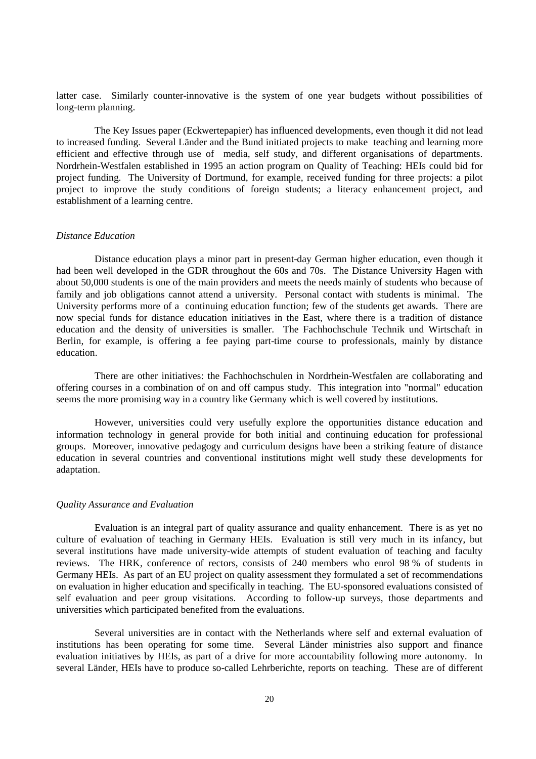latter case. Similarly counter-innovative is the system of one year budgets without possibilities of long-term planning.

The Key Issues paper (Eckwertepapier) has influenced developments, even though it did not lead to increased funding. Several Länder and the Bund initiated projects to make teaching and learning more efficient and effective through use of media, self study, and different organisations of departments. Nordrhein-Westfalen established in 1995 an action program on Quality of Teaching: HEIs could bid for project funding. The University of Dortmund, for example, received funding for three projects: a pilot project to improve the study conditions of foreign students; a literacy enhancement project, and establishment of a learning centre.

## *Distance Education*

Distance education plays a minor part in present-day German higher education, even though it had been well developed in the GDR throughout the 60s and 70s. The Distance University Hagen with about 50,000 students is one of the main providers and meets the needs mainly of students who because of family and job obligations cannot attend a university. Personal contact with students is minimal. The University performs more of a continuing education function; few of the students get awards. There are now special funds for distance education initiatives in the East, where there is a tradition of distance education and the density of universities is smaller. The Fachhochschule Technik und Wirtschaft in Berlin, for example, is offering a fee paying part-time course to professionals, mainly by distance education.

There are other initiatives: the Fachhochschulen in Nordrhein-Westfalen are collaborating and offering courses in a combination of on and off campus study. This integration into "normal" education seems the more promising way in a country like Germany which is well covered by institutions.

However, universities could very usefully explore the opportunities distance education and information technology in general provide for both initial and continuing education for professional groups. Moreover, innovative pedagogy and curriculum designs have been a striking feature of distance education in several countries and conventional institutions might well study these developments for adaptation.

#### *Quality Assurance and Evaluation*

Evaluation is an integral part of quality assurance and quality enhancement. There is as yet no culture of evaluation of teaching in Germany HEIs. Evaluation is still very much in its infancy, but several institutions have made university-wide attempts of student evaluation of teaching and faculty reviews. The HRK, conference of rectors, consists of 240 members who enrol 98 % of students in Germany HEIs. As part of an EU project on quality assessment they formulated a set of recommendations on evaluation in higher education and specifically in teaching. The EU-sponsored evaluations consisted of self evaluation and peer group visitations. According to follow-up surveys, those departments and universities which participated benefited from the evaluations.

Several universities are in contact with the Netherlands where self and external evaluation of institutions has been operating for some time. Several Länder ministries also support and finance evaluation initiatives by HEIs, as part of a drive for more accountability following more autonomy. In several Länder, HEIs have to produce so-called Lehrberichte, reports on teaching. These are of different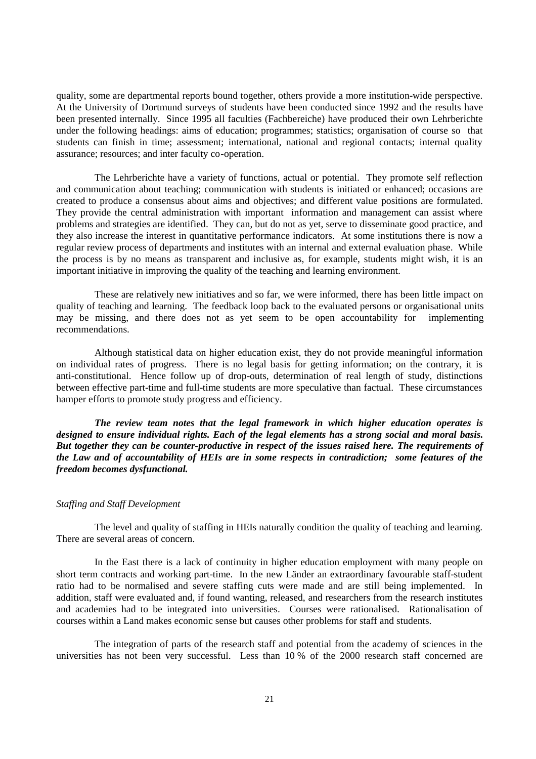quality, some are departmental reports bound together, others provide a more institution-wide perspective. At the University of Dortmund surveys of students have been conducted since 1992 and the results have been presented internally. Since 1995 all faculties (Fachbereiche) have produced their own Lehrberichte under the following headings: aims of education; programmes; statistics; organisation of course so that students can finish in time; assessment; international, national and regional contacts; internal quality assurance; resources; and inter faculty co-operation.

The Lehrberichte have a variety of functions, actual or potential. They promote self reflection and communication about teaching; communication with students is initiated or enhanced; occasions are created to produce a consensus about aims and objectives; and different value positions are formulated. They provide the central administration with important information and management can assist where problems and strategies are identified. They can, but do not as yet, serve to disseminate good practice, and they also increase the interest in quantitative performance indicators. At some institutions there is now a regular review process of departments and institutes with an internal and external evaluation phase. While the process is by no means as transparent and inclusive as, for example, students might wish, it is an important initiative in improving the quality of the teaching and learning environment.

These are relatively new initiatives and so far, we were informed, there has been little impact on quality of teaching and learning. The feedback loop back to the evaluated persons or organisational units may be missing, and there does not as yet seem to be open accountability for implementing recommendations.

Although statistical data on higher education exist, they do not provide meaningful information on individual rates of progress. There is no legal basis for getting information; on the contrary, it is anti-constitutional. Hence follow up of drop-outs, determination of real length of study, distinctions between effective part-time and full-time students are more speculative than factual. These circumstances hamper efforts to promote study progress and efficiency.

*The review team notes that the legal framework in which higher education operates is designed to ensure individual rights. Each of the legal elements has a strong social and moral basis. But together they can be counter-productive in respect of the issues raised here. The requirements of the Law and of accountability of HEIs are in some respects in contradiction; some features of the freedom becomes dysfunctional.*

### *Staffing and Staff Development*

The level and quality of staffing in HEIs naturally condition the quality of teaching and learning. There are several areas of concern.

In the East there is a lack of continuity in higher education employment with many people on short term contracts and working part-time. In the new Länder an extraordinary favourable staff-student ratio had to be normalised and severe staffing cuts were made and are still being implemented. In addition, staff were evaluated and, if found wanting, released, and researchers from the research institutes and academies had to be integrated into universities. Courses were rationalised. Rationalisation of courses within a Land makes economic sense but causes other problems for staff and students.

The integration of parts of the research staff and potential from the academy of sciences in the universities has not been very successful. Less than 10 % of the 2000 research staff concerned are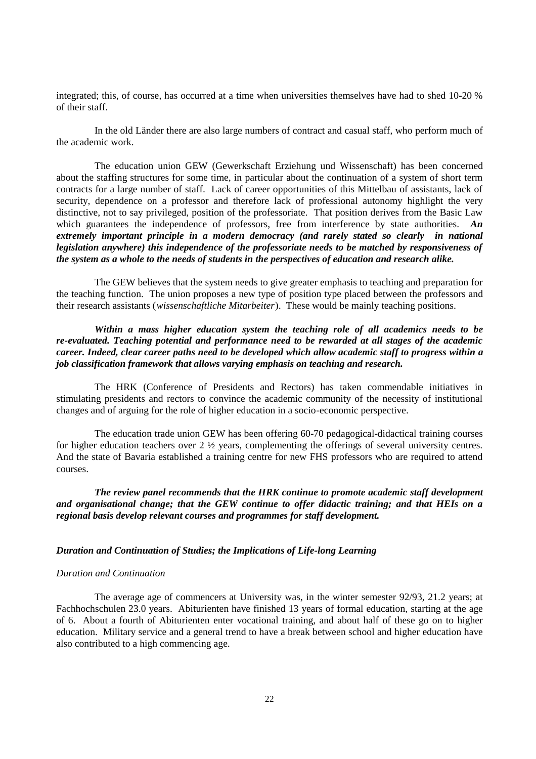integrated; this, of course, has occurred at a time when universities themselves have had to shed 10-20 % of their staff.

In the old Länder there are also large numbers of contract and casual staff, who perform much of the academic work.

The education union GEW (Gewerkschaft Erziehung und Wissenschaft) has been concerned about the staffing structures for some time, in particular about the continuation of a system of short term contracts for a large number of staff. Lack of career opportunities of this Mittelbau of assistants, lack of security, dependence on a professor and therefore lack of professional autonomy highlight the very distinctive, not to say privileged, position of the professoriate. That position derives from the Basic Law which guarantees the independence of professors, free from interference by state authorities. **An** *extremely important principle in a modern democracy (and rarely stated so clearly in national legislation anywhere) this independence of the professoriate needs to be matched by responsiveness of the system as a whole to the needs of students in the perspectives of education and research alike.*

The GEW believes that the system needs to give greater emphasis to teaching and preparation for the teaching function. The union proposes a new type of position type placed between the professors and their research assistants (*wissenschaftliche Mitarbeiter*). These would be mainly teaching positions.

*Within a mass higher education system the teaching role of all academics needs to be re-evaluated. Teaching potential and performance need to be rewarded at all stages of the academic career. Indeed, clear career paths need to be developed which allow academic staff to progress within a job classification framework that allows varying emphasis on teaching and research.*

The HRK (Conference of Presidents and Rectors) has taken commendable initiatives in stimulating presidents and rectors to convince the academic community of the necessity of institutional changes and of arguing for the role of higher education in a socio-economic perspective.

The education trade union GEW has been offering 60-70 pedagogical-didactical training courses for higher education teachers over 2 ½ years, complementing the offerings of several university centres. And the state of Bavaria established a training centre for new FHS professors who are required to attend courses.

*The review panel recommends that the HRK continue to promote academic staff development and organisational change; that the GEW continue to offer didactic training; and that HEIs on a regional basis develop relevant courses and programmes for staff development.*

### *Duration and Continuation of Studies; the Implications of Life-long Learning*

#### *Duration and Continuation*

The average age of commencers at University was, in the winter semester 92/93, 21.2 years; at Fachhochschulen 23.0 years. Abiturienten have finished 13 years of formal education, starting at the age of 6. About a fourth of Abiturienten enter vocational training, and about half of these go on to higher education. Military service and a general trend to have a break between school and higher education have also contributed to a high commencing age.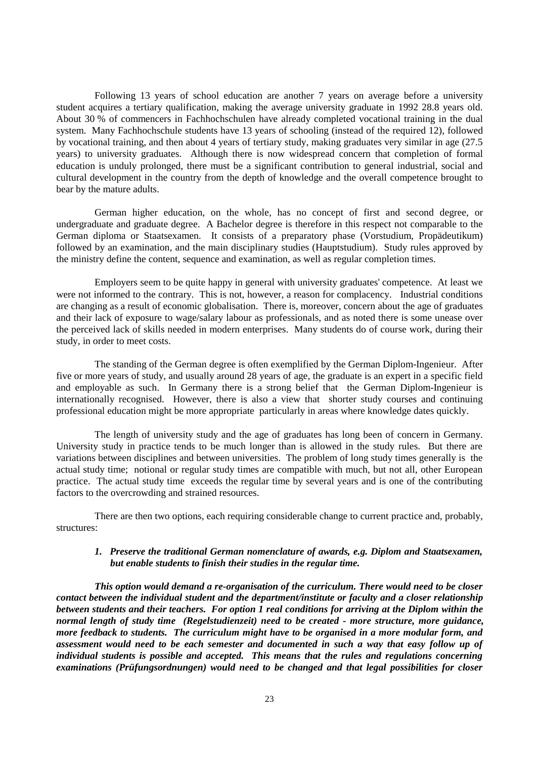Following 13 years of school education are another 7 years on average before a university student acquires a tertiary qualification, making the average university graduate in 1992 28.8 years old. About 30 % of commencers in Fachhochschulen have already completed vocational training in the dual system. Many Fachhochschule students have 13 years of schooling (instead of the required 12), followed by vocational training, and then about 4 years of tertiary study, making graduates very similar in age (27.5 years) to university graduates. Although there is now widespread concern that completion of formal education is unduly prolonged, there must be a significant contribution to general industrial, social and cultural development in the country from the depth of knowledge and the overall competence brought to bear by the mature adults.

German higher education, on the whole, has no concept of first and second degree, or undergraduate and graduate degree. A Bachelor degree is therefore in this respect not comparable to the German diploma or Staatsexamen. It consists of a preparatory phase (Vorstudium, Propädeutikum) followed by an examination, and the main disciplinary studies (Hauptstudium). Study rules approved by the ministry define the content, sequence and examination, as well as regular completion times.

Employers seem to be quite happy in general with university graduates' competence. At least we were not informed to the contrary. This is not, however, a reason for complacency. Industrial conditions are changing as a result of economic globalisation. There is, moreover, concern about the age of graduates and their lack of exposure to wage/salary labour as professionals, and as noted there is some unease over the perceived lack of skills needed in modern enterprises. Many students do of course work, during their study, in order to meet costs.

The standing of the German degree is often exemplified by the German Diplom-Ingenieur. After five or more years of study, and usually around 28 years of age, the graduate is an expert in a specific field and employable as such. In Germany there is a strong belief that the German Diplom-Ingenieur is internationally recognised. However, there is also a view that shorter study courses and continuing professional education might be more appropriate particularly in areas where knowledge dates quickly.

The length of university study and the age of graduates has long been of concern in Germany. University study in practice tends to be much longer than is allowed in the study rules. But there are variations between disciplines and between universities. The problem of long study times generally is the actual study time; notional or regular study times are compatible with much, but not all, other European practice. The actual study time exceeds the regular time by several years and is one of the contributing factors to the overcrowding and strained resources.

There are then two options, each requiring considerable change to current practice and, probably, structures:

## *1. Preserve the traditional German nomenclature of awards, e.g. Diplom and Staatsexamen, but enable students to finish their studies in the regular time.*

*This option would demand a re-organisation of the curriculum. There would need to be closer contact between the individual student and the department/institute or faculty and a closer relationship between students and their teachers. For option 1 real conditions for arriving at the Diplom within the normal length of study time (Regelstudienzeit) need to be created - more structure, more guidance, more feedback to students. The curriculum might have to be organised in a more modular form, and assessment would need to be each semester and documented in such a way that easy follow up of individual students is possible and accepted. This means that the rules and regulations concerning examinations (Prüfungsordnungen) would need to be changed and that legal possibilities for closer*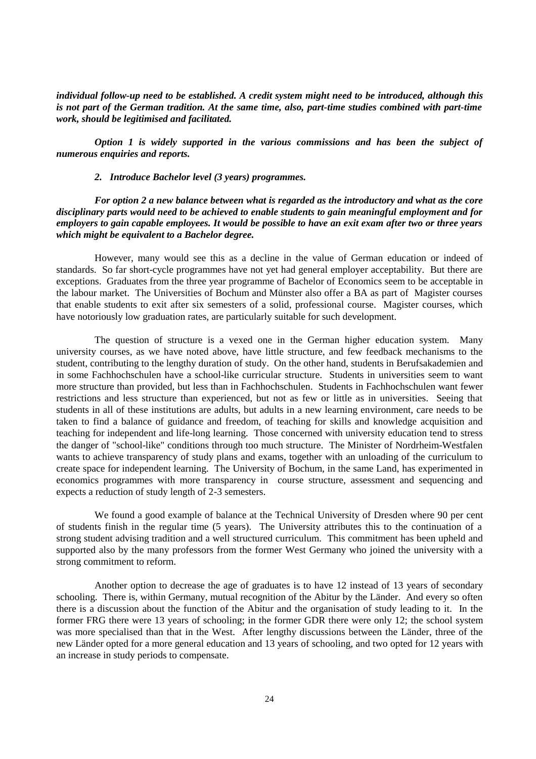*individual follow-up need to be established. A credit system might need to be introduced, although this is not part of the German tradition. At the same time, also, part-time studies combined with part-time work, should be legitimised and facilitated.*

*Option 1 is widely supported in the various commissions and has been the subject of numerous enquiries and reports.*

*2. Introduce Bachelor level (3 years) programmes.*

*For option 2 a new balance between what is regarded as the introductory and what as the core disciplinary parts would need to be achieved to enable students to gain meaningful employment and for employers to gain capable employees. It would be possible to have an exit exam after two or three years which might be equivalent to a Bachelor degree.*

However, many would see this as a decline in the value of German education or indeed of standards. So far short-cycle programmes have not yet had general employer acceptability. But there are exceptions. Graduates from the three year programme of Bachelor of Economics seem to be acceptable in the labour market. The Universities of Bochum and Münster also offer a BA as part of Magister courses that enable students to exit after six semesters of a solid, professional course. Magister courses, which have notoriously low graduation rates, are particularly suitable for such development.

The question of structure is a vexed one in the German higher education system. Many university courses, as we have noted above, have little structure, and few feedback mechanisms to the student, contributing to the lengthy duration of study. On the other hand, students in Berufsakademien and in some Fachhochschulen have a school-like curricular structure. Students in universities seem to want more structure than provided, but less than in Fachhochschulen. Students in Fachhochschulen want fewer restrictions and less structure than experienced, but not as few or little as in universities. Seeing that students in all of these institutions are adults, but adults in a new learning environment, care needs to be taken to find a balance of guidance and freedom, of teaching for skills and knowledge acquisition and teaching for independent and life-long learning. Those concerned with university education tend to stress the danger of "school-like" conditions through too much structure. The Minister of Nordrheim-Westfalen wants to achieve transparency of study plans and exams, together with an unloading of the curriculum to create space for independent learning. The University of Bochum, in the same Land, has experimented in economics programmes with more transparency in course structure, assessment and sequencing and expects a reduction of study length of 2-3 semesters.

We found a good example of balance at the Technical University of Dresden where 90 per cent of students finish in the regular time (5 years). The University attributes this to the continuation of a strong student advising tradition and a well structured curriculum. This commitment has been upheld and supported also by the many professors from the former West Germany who joined the university with a strong commitment to reform.

Another option to decrease the age of graduates is to have 12 instead of 13 years of secondary schooling. There is, within Germany, mutual recognition of the Abitur by the Länder. And every so often there is a discussion about the function of the Abitur and the organisation of study leading to it. In the former FRG there were 13 years of schooling; in the former GDR there were only 12; the school system was more specialised than that in the West. After lengthy discussions between the Länder, three of the new Länder opted for a more general education and 13 years of schooling, and two opted for 12 years with an increase in study periods to compensate.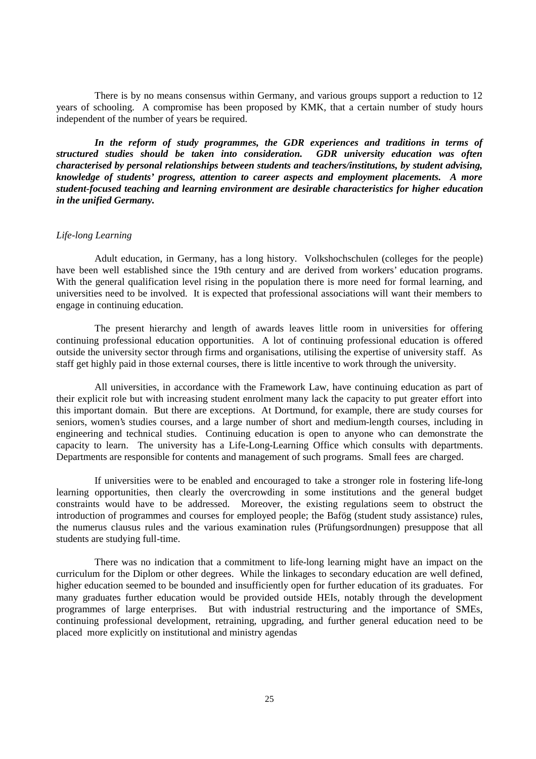There is by no means consensus within Germany, and various groups support a reduction to 12 years of schooling. A compromise has been proposed by KMK, that a certain number of study hours independent of the number of years be required.

*In the reform of study programmes, the GDR experiences and traditions in terms of structured studies should be taken into consideration. GDR university education was often characterised by personal relationships between students and teachers/institutions, by student advising, knowledge of students' progress, attention to career aspects and employment placements. A more student-focused teaching and learning environment are desirable characteristics for higher education in the unified Germany.*

## *Life-long Learning*

Adult education, in Germany, has a long history. Volkshochschulen (colleges for the people) have been well established since the 19th century and are derived from workers' education programs. With the general qualification level rising in the population there is more need for formal learning, and universities need to be involved. It is expected that professional associations will want their members to engage in continuing education.

The present hierarchy and length of awards leaves little room in universities for offering continuing professional education opportunities. A lot of continuing professional education is offered outside the university sector through firms and organisations, utilising the expertise of university staff. As staff get highly paid in those external courses, there is little incentive to work through the university.

All universities, in accordance with the Framework Law, have continuing education as part of their explicit role but with increasing student enrolment many lack the capacity to put greater effort into this important domain. But there are exceptions. At Dortmund, for example, there are study courses for seniors, women's studies courses, and a large number of short and medium-length courses, including in engineering and technical studies. Continuing education is open to anyone who can demonstrate the capacity to learn. The university has a Life-Long-Learning Office which consults with departments. Departments are responsible for contents and management of such programs. Small fees are charged.

If universities were to be enabled and encouraged to take a stronger role in fostering life-long learning opportunities, then clearly the overcrowding in some institutions and the general budget constraints would have to be addressed. Moreover, the existing regulations seem to obstruct the introduction of programmes and courses for employed people; the Bafög (student study assistance) rules, the numerus clausus rules and the various examination rules (Prüfungsordnungen) presuppose that all students are studying full-time.

There was no indication that a commitment to life-long learning might have an impact on the curriculum for the Diplom or other degrees. While the linkages to secondary education are well defined, higher education seemed to be bounded and insufficiently open for further education of its graduates. For many graduates further education would be provided outside HEIs, notably through the development programmes of large enterprises. But with industrial restructuring and the importance of SMEs, continuing professional development, retraining, upgrading, and further general education need to be placed more explicitly on institutional and ministry agendas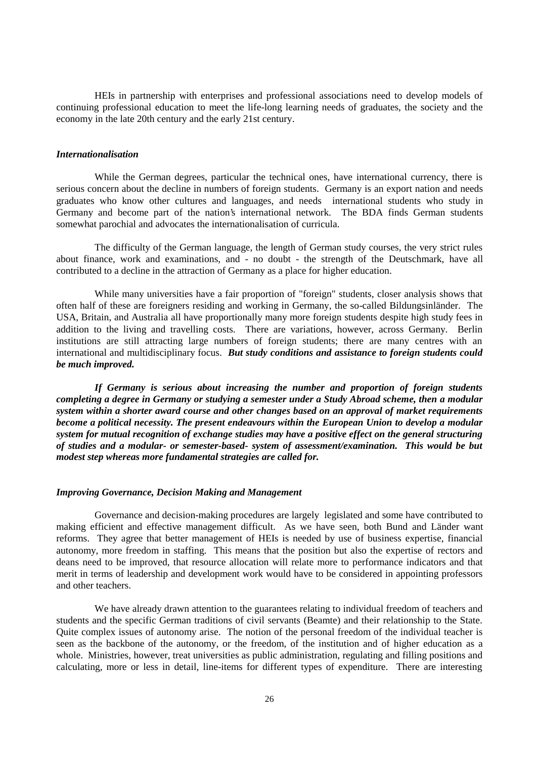HEIs in partnership with enterprises and professional associations need to develop models of continuing professional education to meet the life-long learning needs of graduates, the society and the economy in the late 20th century and the early 21st century.

#### *Internationalisation*

While the German degrees, particular the technical ones, have international currency, there is serious concern about the decline in numbers of foreign students. Germany is an export nation and needs graduates who know other cultures and languages, and needs international students who study in Germany and become part of the nation's international network. The BDA finds German students somewhat parochial and advocates the internationalisation of curricula.

The difficulty of the German language, the length of German study courses, the very strict rules about finance, work and examinations, and - no doubt - the strength of the Deutschmark, have all contributed to a decline in the attraction of Germany as a place for higher education.

While many universities have a fair proportion of "foreign" students, closer analysis shows that often half of these are foreigners residing and working in Germany, the so-called Bildungsinländer. The USA, Britain, and Australia all have proportionally many more foreign students despite high study fees in addition to the living and travelling costs. There are variations, however, across Germany. Berlin institutions are still attracting large numbers of foreign students; there are many centres with an international and multidisciplinary focus. *But study conditions and assistance to foreign students could be much improved.*

*If Germany is serious about increasing the number and proportion of foreign students completing a degree in Germany or studying a semester under a Study Abroad scheme, then a modular system within a shorter award course and other changes based on an approval of market requirements become a political necessity. The present endeavours within the European Union to develop a modular system for mutual recognition of exchange studies may have a positive effect on the general structuring of studies and a modular- or semester-based- system of assessment/examination. This would be but modest step whereas more fundamental strategies are called for.*

#### *Improving Governance, Decision Making and Management*

Governance and decision-making procedures are largely legislated and some have contributed to making efficient and effective management difficult. As we have seen, both Bund and Länder want reforms. They agree that better management of HEIs is needed by use of business expertise, financial autonomy, more freedom in staffing. This means that the position but also the expertise of rectors and deans need to be improved, that resource allocation will relate more to performance indicators and that merit in terms of leadership and development work would have to be considered in appointing professors and other teachers.

We have already drawn attention to the guarantees relating to individual freedom of teachers and students and the specific German traditions of civil servants (Beamte) and their relationship to the State. Quite complex issues of autonomy arise. The notion of the personal freedom of the individual teacher is seen as the backbone of the autonomy, or the freedom, of the institution and of higher education as a whole. Ministries, however, treat universities as public administration, regulating and filling positions and calculating, more or less in detail, line-items for different types of expenditure. There are interesting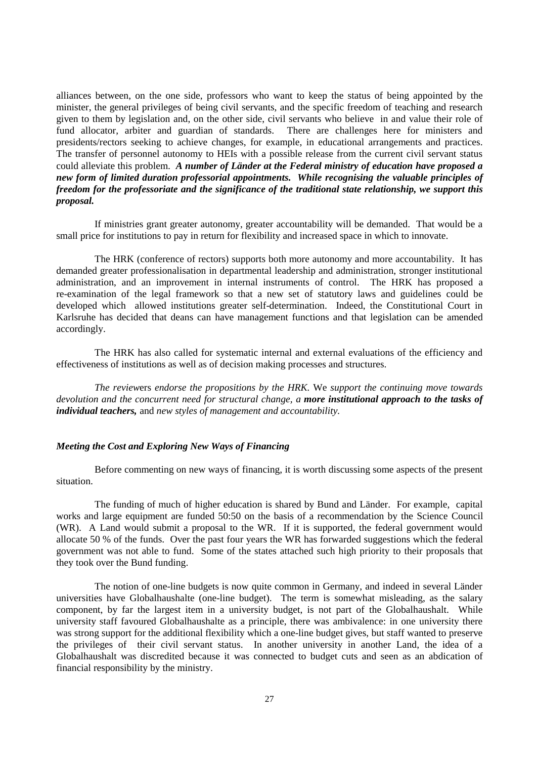alliances between, on the one side, professors who want to keep the status of being appointed by the minister, the general privileges of being civil servants, and the specific freedom of teaching and research given to them by legislation and, on the other side, civil servants who believe in and value their role of fund allocator, arbiter and guardian of standards. There are challenges here for ministers and presidents/rectors seeking to achieve changes, for example, in educational arrangements and practices. The transfer of personnel autonomy to HEIs with a possible release from the current civil servant status could alleviate this problem. *A number of Länder at the Federal ministry of education have proposed a new form of limited duration professorial appointments. While recognising the valuable principles of freedom for the professoriate and the significance of the traditional state relationship, we support this proposal.*

If ministries grant greater autonomy, greater accountability will be demanded. That would be a small price for institutions to pay in return for flexibility and increased space in which to innovate.

The HRK (conference of rectors) supports both more autonomy and more accountability. It has demanded greater professionalisation in departmental leadership and administration, stronger institutional administration, and an improvement in internal instruments of control. The HRK has proposed a re-examination of the legal framework so that a new set of statutory laws and guidelines could be developed which allowed institutions greater self-determination. Indeed, the Constitutional Court in Karlsruhe has decided that deans can have management functions and that legislation can be amended accordingly.

The HRK has also called for systematic internal and external evaluations of the efficiency and effectiveness of institutions as well as of decision making processes and structures.

*The review*ers *endorse the propositions by the HRK.* We *support the continuing move towards devolution and the concurrent need for structural change, a more institutional approach to the tasks of individual teachers,* and *new styles of management and accountability.*

### *Meeting the Cost and Exploring New Ways of Financing*

Before commenting on new ways of financing, it is worth discussing some aspects of the present situation.

The funding of much of higher education is shared by Bund and Länder. For example, capital works and large equipment are funded 50:50 on the basis of a recommendation by the Science Council (WR). A Land would submit a proposal to the WR. If it is supported, the federal government would allocate 50 % of the funds. Over the past four years the WR has forwarded suggestions which the federal government was not able to fund. Some of the states attached such high priority to their proposals that they took over the Bund funding.

The notion of one-line budgets is now quite common in Germany, and indeed in several Länder universities have Globalhaushalte (one-line budget). The term is somewhat misleading, as the salary component, by far the largest item in a university budget, is not part of the Globalhaushalt. While university staff favoured Globalhaushalte as a principle, there was ambivalence: in one university there was strong support for the additional flexibility which a one-line budget gives, but staff wanted to preserve the privileges of their civil servant status. In another university in another Land, the idea of a Globalhaushalt was discredited because it was connected to budget cuts and seen as an abdication of financial responsibility by the ministry.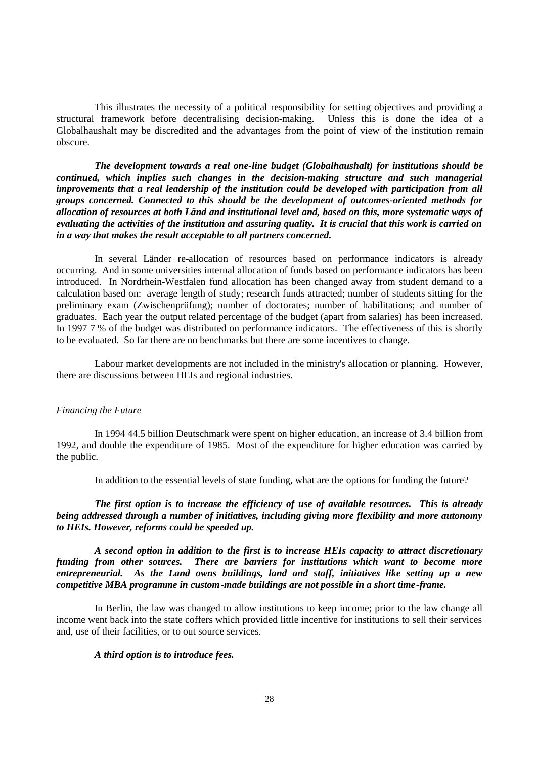This illustrates the necessity of a political responsibility for setting objectives and providing a structural framework before decentralising decision-making. Unless this is done the idea of a Globalhaushalt may be discredited and the advantages from the point of view of the institution remain obscure.

*The development towards a real one-line budget (Globalhaushalt) for institutions should be continued, which implies such changes in the decision-making structure and such managerial improvements that a real leadership of the institution could be developed with participation from all groups concerned. Connected to this should be the development of outcomes-oriented methods for allocation of resources at both Länd and institutional level and, based on this, more systematic ways of evaluating the activities of the institution and assuring quality. It is crucial that this work is carried on in a way that makes the result acceptable to all partners concerned.*

In several Länder re-allocation of resources based on performance indicators is already occurring. And in some universities internal allocation of funds based on performance indicators has been introduced. In Nordrhein-Westfalen fund allocation has been changed away from student demand to a calculation based on: average length of study; research funds attracted; number of students sitting for the preliminary exam (Zwischenprüfung); number of doctorates; number of habilitations; and number of graduates. Each year the output related percentage of the budget (apart from salaries) has been increased. In 1997 7 % of the budget was distributed on performance indicators. The effectiveness of this is shortly to be evaluated. So far there are no benchmarks but there are some incentives to change.

Labour market developments are not included in the ministry's allocation or planning. However, there are discussions between HEIs and regional industries.

## *Financing the Future*

In 1994 44.5 billion Deutschmark were spent on higher education, an increase of 3.4 billion from 1992, and double the expenditure of 1985. Most of the expenditure for higher education was carried by the public.

In addition to the essential levels of state funding, what are the options for funding the future?

*The first option is to increase the efficiency of use of available resources. This is already being addressed through a number of initiatives, including giving more flexibility and more autonomy to HEIs. However, reforms could be speeded up.*

*A second option in addition to the first is to increase HEIs capacity to attract discretionary funding from other sources. There are barriers for institutions which want to become more entrepreneurial. As the Land owns buildings, land and staff, initiatives like setting up a new competitive MBA programme in custom-made buildings are not possible in a short time-frame.*

In Berlin, the law was changed to allow institutions to keep income; prior to the law change all income went back into the state coffers which provided little incentive for institutions to sell their services and, use of their facilities, or to out source services.

## *A third option is to introduce fees.*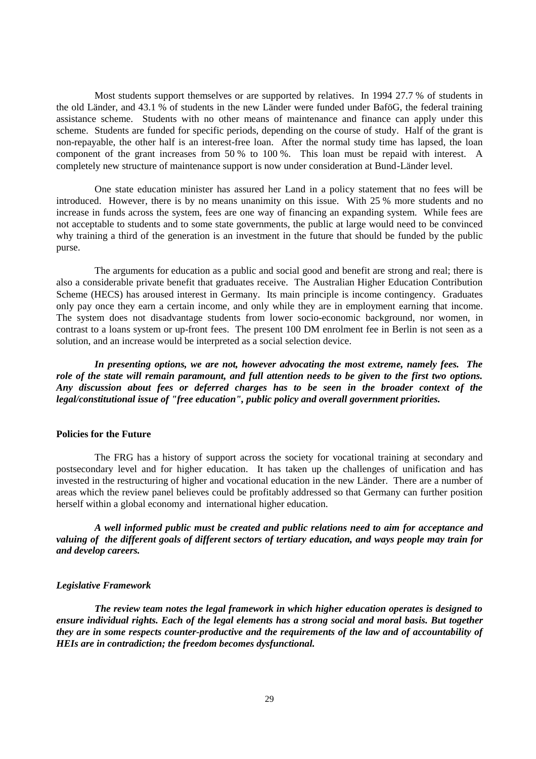Most students support themselves or are supported by relatives. In 1994 27.7 % of students in the old Länder, and 43.1 % of students in the new Länder were funded under BaföG, the federal training assistance scheme. Students with no other means of maintenance and finance can apply under this scheme. Students are funded for specific periods, depending on the course of study. Half of the grant is non-repayable, the other half is an interest-free loan. After the normal study time has lapsed, the loan component of the grant increases from 50 % to 100 %. This loan must be repaid with interest. A completely new structure of maintenance support is now under consideration at Bund-Länder level.

One state education minister has assured her Land in a policy statement that no fees will be introduced. However, there is by no means unanimity on this issue. With 25 % more students and no increase in funds across the system, fees are one way of financing an expanding system. While fees are not acceptable to students and to some state governments, the public at large would need to be convinced why training a third of the generation is an investment in the future that should be funded by the public purse.

The arguments for education as a public and social good and benefit are strong and real; there is also a considerable private benefit that graduates receive. The Australian Higher Education Contribution Scheme (HECS) has aroused interest in Germany. Its main principle is income contingency. Graduates only pay once they earn a certain income, and only while they are in employment earning that income. The system does not disadvantage students from lower socio-economic background, nor women, in contrast to a loans system or up-front fees. The present 100 DM enrolment fee in Berlin is not seen as a solution, and an increase would be interpreted as a social selection device.

*In presenting options, we are not, however advocating the most extreme, namely fees. The role of the state will remain paramount, and full attention needs to be given to the first two options. Any discussion about fees or deferred charges has to be seen in the broader context of the legal/constitutional issue of "free education", public policy and overall government priorities.*

## **Policies for the Future**

The FRG has a history of support across the society for vocational training at secondary and postsecondary level and for higher education. It has taken up the challenges of unification and has invested in the restructuring of higher and vocational education in the new Länder. There are a number of areas which the review panel believes could be profitably addressed so that Germany can further position herself within a global economy and international higher education.

*A well informed public must be created and public relations need to aim for acceptance and valuing of the different goals of different sectors of tertiary education, and ways people may train for and develop careers.*

#### *Legislative Framework*

*The review team notes the legal framework in which higher education operates is designed to ensure individual rights. Each of the legal elements has a strong social and moral basis. But together they are in some respects counter-productive and the requirements of the law and of accountability of HEIs are in contradiction; the freedom becomes dysfunctional.*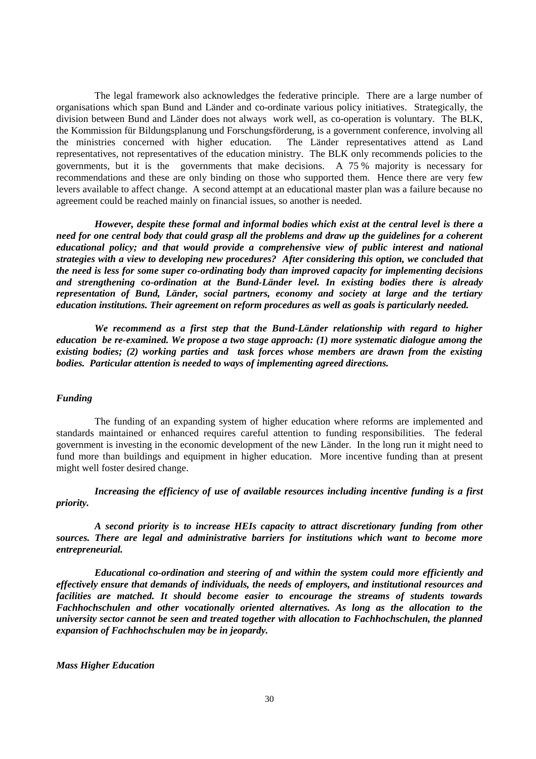The legal framework also acknowledges the federative principle. There are a large number of organisations which span Bund and Länder and co-ordinate various policy initiatives. Strategically, the division between Bund and Länder does not always work well, as co-operation is voluntary. The BLK, the Kommission für Bildungsplanung und Forschungsförderung, is a government conference, involving all the ministries concerned with higher education. The Länder representatives attend as Land representatives, not representatives of the education ministry. The BLK only recommends policies to the governments, but it is the governments that make decisions. A 75 % majority is necessary for recommendations and these are only binding on those who supported them. Hence there are very few levers available to affect change. A second attempt at an educational master plan was a failure because no agreement could be reached mainly on financial issues, so another is needed.

*However, despite these formal and informal bodies which exist at the central level is there a need for one central body that could grasp all the problems and draw up the guidelines for a coherent educational policy; and that would provide a comprehensive view of public interest and national strategies with a view to developing new procedures? After considering this option, we concluded that the need is less for some super co-ordinating body than improved capacity for implementing decisions and strengthening co-ordination at the Bund-Länder level. In existing bodies there is already representation of Bund, Länder, social partners, economy and society at large and the tertiary education institutions. Their agreement on reform procedures as well as goals is particularly needed.*

*We recommend as a first step that the Bund-Länder relationship with regard to higher education be re-examined. We propose a two stage approach: (1) more systematic dialogue among the existing bodies; (2) working parties and task forces whose members are drawn from the existing bodies. Particular attention is needed to ways of implementing agreed directions.*

#### *Funding*

The funding of an expanding system of higher education where reforms are implemented and standards maintained or enhanced requires careful attention to funding responsibilities. The federal government is investing in the economic development of the new Länder. In the long run it might need to fund more than buildings and equipment in higher education. More incentive funding than at present might well foster desired change.

*Increasing the efficiency of use of available resources including incentive funding is a first priority.*

*A second priority is to increase HEIs capacity to attract discretionary funding from other sources. There are legal and administrative barriers for institutions which want to become more entrepreneurial.*

*Educational co-ordination and steering of and within the system could more efficiently and effectively ensure that demands of individuals, the needs of employers, and institutional resources and facilities are matched. It should become easier to encourage the streams of students towards Fachhochschulen and other vocationally oriented alternatives. As long as the allocation to the university sector cannot be seen and treated together with allocation to Fachhochschulen, the planned expansion of Fachhochschulen may be in jeopardy.*

*Mass Higher Education*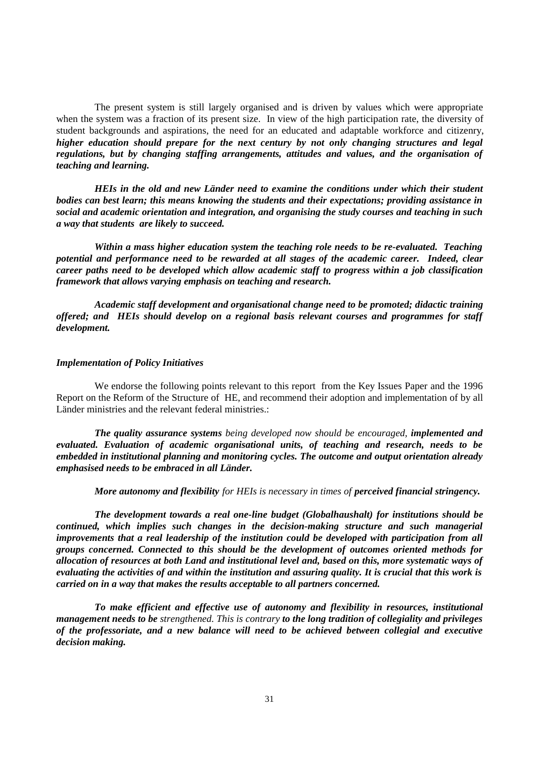The present system is still largely organised and is driven by values which were appropriate when the system was a fraction of its present size. In view of the high participation rate, the diversity of student backgrounds and aspirations, the need for an educated and adaptable workforce and citizenry, *higher education should prepare for the next century by not only changing structures and legal regulations, but by changing staffing arrangements, attitudes and values, and the organisation of teaching and learning.*

*HEIs in the old and new Länder need to examine the conditions under which their student bodies can best learn; this means knowing the students and their expectations; providing assistance in social and academic orientation and integration, and organising the study courses and teaching in such a way that students are likely to succeed.*

*Within a mass higher education system the teaching role needs to be re-evaluated. Teaching potential and performance need to be rewarded at all stages of the academic career. Indeed, clear career paths need to be developed which allow academic staff to progress within a job classification framework that allows varying emphasis on teaching and research.*

*Academic staff development and organisational change need to be promoted; didactic training offered; and HEIs should develop on a regional basis relevant courses and programmes for staff development.*

## *Implementation of Policy Initiatives*

We endorse the following points relevant to this report from the Key Issues Paper and the 1996 Report on the Reform of the Structure of HE, and recommend their adoption and implementation of by all Länder ministries and the relevant federal ministries.:

*The quality assurance systems being developed now should be encouraged, implemented and evaluated. Evaluation of academic organisational units, of teaching and research, needs to be embedded in institutional planning and monitoring cycles. The outcome and output orientation already emphasised needs to be embraced in all Länder.*

*More autonomy and flexibility for HEIs is necessary in times of perceived financial stringency.*

*The development towards a real one-line budget (Globalhaushalt) for institutions should be continued, which implies such changes in the decision-making structure and such managerial improvements that a real leadership of the institution could be developed with participation from all groups concerned. Connected to this should be the development of outcomes oriented methods for allocation of resources at both Land and institutional level and, based on this, more systematic ways of evaluating the activities of and within the institution and assuring quality. It is crucial that this work is carried on in a way that makes the results acceptable to all partners concerned.*

*To make efficient and effective use of autonomy and flexibility in resources, institutional management needs to be strengthened. This is contrary to the long tradition of collegiality and privileges of the professoriate, and a new balance will need to be achieved between collegial and executive decision making.*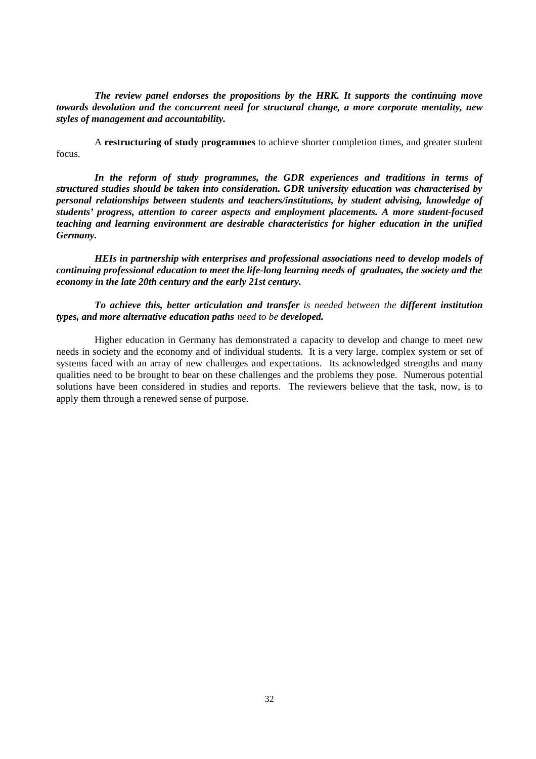*The review panel endorses the propositions by the HRK. It supports the continuing move towards devolution and the concurrent need for structural change, a more corporate mentality, new styles of management and accountability.*

A **restructuring of study programmes** to achieve shorter completion times, and greater student focus.

*In the reform of study programmes, the GDR experiences and traditions in terms of structured studies should be taken into consideration. GDR university education was characterised by personal relationships between students and teachers/institutions, by student advising, knowledge of students' progress, attention to career aspects and employment placements. A more student-focused teaching and learning environment are desirable characteristics for higher education in the unified Germany.*

*HEIs in partnership with enterprises and professional associations need to develop models of continuing professional education to meet the life-long learning needs of graduates, the society and the economy in the late 20th century and the early 21st century.*

*To achieve this, better articulation and transfer is needed between the different institution types, and more alternative education paths need to be developed.*

Higher education in Germany has demonstrated a capacity to develop and change to meet new needs in society and the economy and of individual students. It is a very large, complex system or set of systems faced with an array of new challenges and expectations. Its acknowledged strengths and many qualities need to be brought to bear on these challenges and the problems they pose. Numerous potential solutions have been considered in studies and reports. The reviewers believe that the task, now, is to apply them through a renewed sense of purpose.